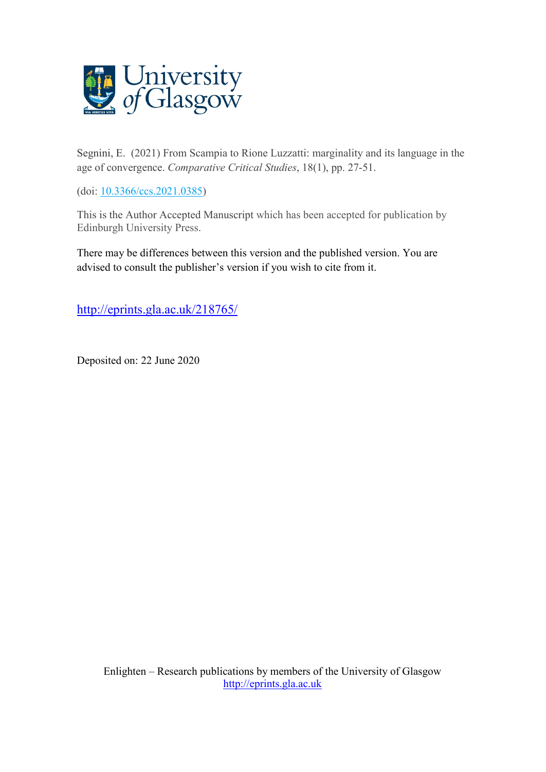

[Segnini,](http://eprints.gla.ac.uk/view/author/39356.html) E. (2021) From Scampia to Rione Luzzatti: marginality and its language in the age of convergence. *Comparative Critical Studies*, 18(1), pp. 27-51.

(doi: [10.3366/ccs.2021.0385\)](http://dx.doi.org/10.3366/ccs.2021.0385)

This is the Author Accepted Manuscript which has been accepted for publication by Edinburgh University Press.

There may be differences between this version and the published version. You are advised to consult the publisher's version if you wish to cite from it.

<http://eprints.gla.ac.uk/218765/>

Deposited on: 22 June 2020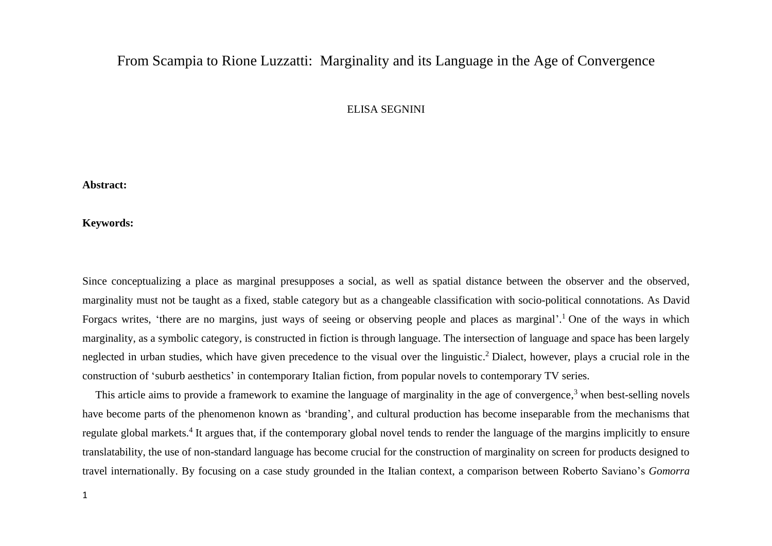# From Scampia to Rione Luzzatti: Marginality and its Language in the Age of Convergence

ELISA SEGNINI

**Abstract:** 

**Keywords:** 

Since conceptualizing a place as marginal presupposes a social, as well as spatial distance between the observer and the observed, marginality must not be taught as a fixed, stable category but as a changeable classification with socio-political connotations. As David Forgacs writes, 'there are no margins, just ways of seeing or observing people and places as marginal'.<sup>1</sup> One of the ways in which marginality, as a symbolic category, is constructed in fiction is through language. The intersection of language and space has been largely neglected in urban studies, which have given precedence to the visual over the linguistic. <sup>2</sup> Dialect, however, plays a crucial role in the construction of 'suburb aesthetics' in contemporary Italian fiction, from popular novels to contemporary TV series.

This article aims to provide a framework to examine the language of marginality in the age of convergence,<sup>3</sup> when best-selling novels have become parts of the phenomenon known as 'branding', and cultural production has become inseparable from the mechanisms that regulate global markets.<sup>4</sup> It argues that, if the contemporary global novel tends to render the language of the margins implicitly to ensure translatability, the use of non-standard language has become crucial for the construction of marginality on screen for products designed to travel internationally. By focusing on a case study grounded in the Italian context, a comparison between Roberto Saviano's *Gomorra*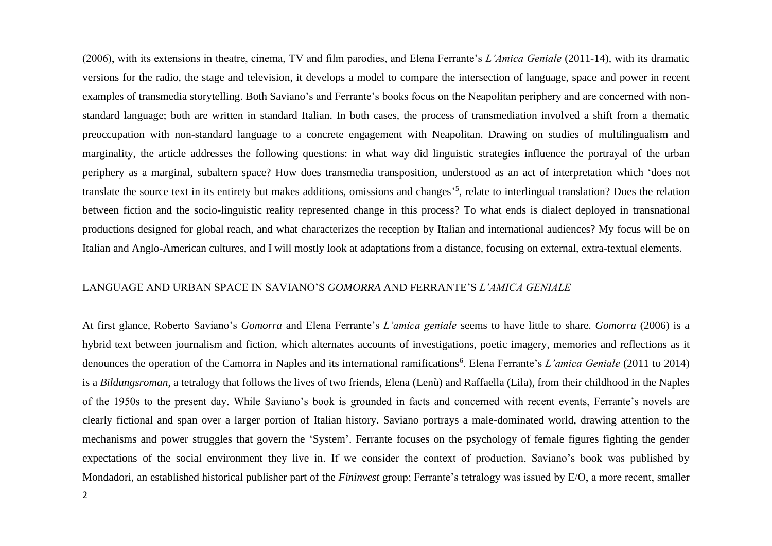(2006), with its extensions in theatre, cinema, TV and film parodies, and Elena Ferrante's *L'Amica Geniale* (2011-14), with its dramatic versions for the radio, the stage and television, it develops a model to compare the intersection of language, space and power in recent examples of transmedia storytelling. Both Saviano's and Ferrante's books focus on the Neapolitan periphery and are concerned with nonstandard language; both are written in standard Italian. In both cases, the process of transmediation involved a shift from a thematic preoccupation with non-standard language to a concrete engagement with Neapolitan. Drawing on studies of multilingualism and marginality, the article addresses the following questions: in what way did linguistic strategies influence the portrayal of the urban periphery as a marginal, subaltern space? How does transmedia transposition, understood as an act of interpretation which 'does not translate the source text in its entirety but makes additions, omissions and changes<sup>55</sup>, relate to interlingual translation? Does the relation between fiction and the socio-linguistic reality represented change in this process? To what ends is dialect deployed in transnational productions designed for global reach, and what characterizes the reception by Italian and international audiences? My focus will be on Italian and Anglo-American cultures, and I will mostly look at adaptations from a distance, focusing on external, extra-textual elements.

## LANGUAGE AND URBAN SPACE IN SAVIANO'S *GOMORRA* AND FERRANTE'S *L'AMICA GENIALE*

At first glance, Roberto Saviano's *Gomorra* and Elena Ferrante's *L'amica geniale* seems to have little to share. *Gomorra* (2006) is a hybrid text between journalism and fiction, which alternates accounts of investigations, poetic imagery, memories and reflections as it denounces the operation of the Camorra in Naples and its international ramifications<sup>6</sup>. Elena Ferrante's *L'amica Geniale* (2011 to 2014) is a *Bildungsroman*, a tetralogy that follows the lives of two friends, Elena (Lenù) and Raffaella (Lila), from their childhood in the Naples of the 1950s to the present day. While Saviano's book is grounded in facts and concerned with recent events, Ferrante's novels are clearly fictional and span over a larger portion of Italian history. Saviano portrays a male-dominated world, drawing attention to the mechanisms and power struggles that govern the 'System'. Ferrante focuses on the psychology of female figures fighting the gender expectations of the social environment they live in. If we consider the context of production, Saviano's book was published by Mondadori, an established historical publisher part of the *Fininvest* group; Ferrante's tetralogy was issued by E/O, a more recent, smaller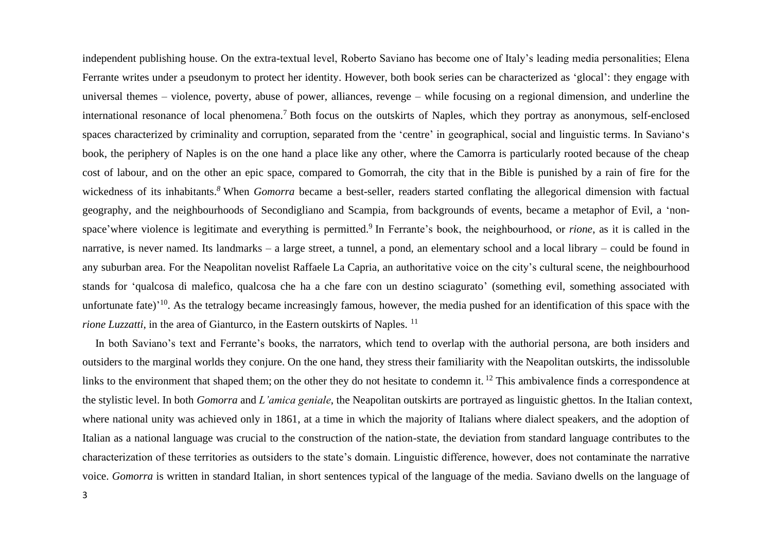independent publishing house. On the extra-textual level, Roberto Saviano has become one of Italy's leading media personalities; Elena Ferrante writes under a pseudonym to protect her identity. However, both book series can be characterized as 'glocal': they engage with universal themes – violence, poverty, abuse of power, alliances, revenge – while focusing on a regional dimension, and underline the international resonance of local phenomena.<sup>7</sup> Both focus on the outskirts of Naples, which they portray as anonymous, self-enclosed spaces characterized by criminality and corruption, separated from the 'centre' in geographical, social and linguistic terms. In Saviano's book, the periphery of Naples is on the one hand a place like any other, where the Camorra is particularly rooted because of the cheap cost of labour, and on the other an epic space, compared to Gomorrah, the city that in the Bible is punished by a rain of fire for the wickedness of its inhabitants. *<sup>8</sup>* When *Gomorra* became a best-seller, readers started conflating the allegorical dimension with factual geography, and the neighbourhoods of Secondigliano and Scampia, from backgrounds of events, became a metaphor of Evil, a 'nonspace'where violence is legitimate and everything is permitted.<sup>9</sup> In Ferrante's book, the neighbourhood, or *rione*, as it is called in the narrative, is never named. Its landmarks – a large street, a tunnel, a pond, an elementary school and a local library – could be found in any suburban area. For the Neapolitan novelist Raffaele La Capria, an authoritative voice on the city's cultural scene, the neighbourhood stands for 'qualcosa di malefico, qualcosa che ha a che fare con un destino sciagurato' (something evil, something associated with unfortunate fate)<sup>'10</sup>. As the tetralogy became increasingly famous, however, the media pushed for an identification of this space with the *rione Luzzatti*, in the area of Gianturco, in the Eastern outskirts of Naples.<sup>11</sup>

In both Saviano's text and Ferrante's books, the narrators, which tend to overlap with the authorial persona, are both insiders and outsiders to the marginal worlds they conjure. On the one hand, they stress their familiarity with the Neapolitan outskirts, the indissoluble links to the environment that shaped them; on the other they do not hesitate to condemn it. <sup>12</sup> This ambivalence finds a correspondence at the stylistic level. In both *Gomorra* and *L'amica geniale*, the Neapolitan outskirts are portrayed as linguistic ghettos. In the Italian context, where national unity was achieved only in 1861, at a time in which the majority of Italians where dialect speakers, and the adoption of Italian as a national language was crucial to the construction of the nation-state, the deviation from standard language contributes to the characterization of these territories as outsiders to the state's domain. Linguistic difference, however, does not contaminate the narrative voice. *Gomorra* is written in standard Italian, in short sentences typical of the language of the media. Saviano dwells on the language of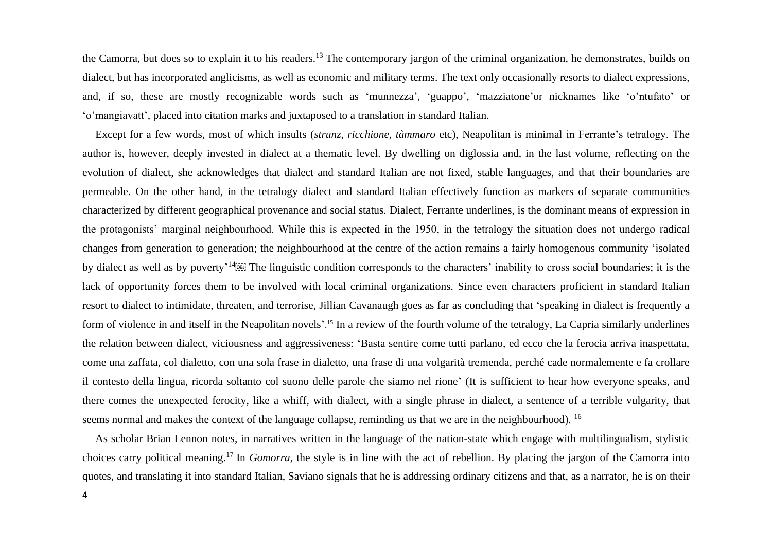the Camorra, but does so to explain it to his readers.<sup>13</sup> The contemporary jargon of the criminal organization, he demonstrates, builds on dialect, but has incorporated anglicisms, as well as economic and military terms. The text only occasionally resorts to dialect expressions, and, if so, these are mostly recognizable words such as 'munnezza', 'guappo', 'mazziatone'or nicknames like 'o'ntufato' or 'o'mangiavatt', placed into citation marks and juxtaposed to a translation in standard Italian.

Except for a few words, most of which insults (*strunz, ricchione, tàmmaro* etc), Neapolitan is minimal in Ferrante's tetralogy. The author is, however, deeply invested in dialect at a thematic level. By dwelling on diglossia and, in the last volume, reflecting on the evolution of dialect, she acknowledges that dialect and standard Italian are not fixed, stable languages, and that their boundaries are permeable. On the other hand, in the tetralogy dialect and standard Italian effectively function as markers of separate communities characterized by different geographical provenance and social status. Dialect, Ferrante underlines, is the dominant means of expression in the protagonists' marginal neighbourhood. While this is expected in the 1950, in the tetralogy the situation does not undergo radical changes from generation to generation; the neighbourhood at the centre of the action remains a fairly homogenous community 'isolated by dialect as well as by poverty<sup>, 14</sup><sup>66</sup> The linguistic condition corresponds to the characters' inability to cross social boundaries; it is the lack of opportunity forces them to be involved with local criminal organizations. Since even characters proficient in standard Italian resort to dialect to intimidate, threaten, and terrorise, Jillian Cavanaugh goes as far as concluding that 'speaking in dialect is frequently a form of violence in and itself in the Neapolitan novels'. <sup>15</sup> In a review of the fourth volume of the tetralogy, La Capria similarly underlines the relation between dialect, viciousness and aggressiveness: 'Basta sentire come tutti parlano, ed ecco che la ferocia arriva inaspettata, come una zaffata, col dialetto, con una sola frase in dialetto, una frase di una volgarità tremenda, perché cade normalemente e fa crollare il contesto della lingua, ricorda soltanto col suono delle parole che siamo nel rione' (It is sufficient to hear how everyone speaks, and there comes the unexpected ferocity, like a whiff, with dialect, with a single phrase in dialect, a sentence of a terrible vulgarity, that seems normal and makes the context of the language collapse, reminding us that we are in the neighbourhood). <sup>16</sup>

As scholar Brian Lennon notes, in narratives written in the language of the nation-state which engage with multilingualism, stylistic choices carry political meaning.<sup>17</sup> In *Gomorra*, the style is in line with the act of rebellion. By placing the jargon of the Camorra into quotes, and translating it into standard Italian, Saviano signals that he is addressing ordinary citizens and that, as a narrator, he is on their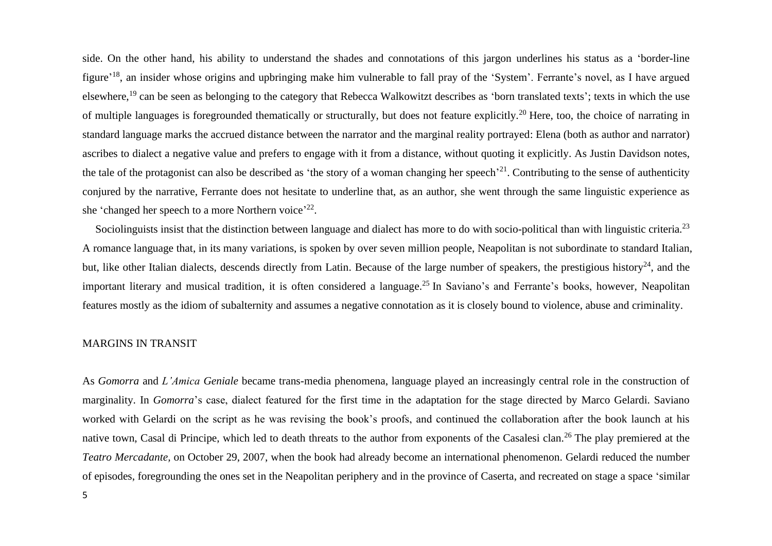side. On the other hand, his ability to understand the shades and connotations of this jargon underlines his status as a 'border-line figure<sup>'18</sup>, an insider whose origins and upbringing make him vulnerable to fall pray of the 'System'. Ferrante's novel, as I have argued elsewhere,<sup>19</sup> can be seen as belonging to the category that Rebecca Walkowitzt describes as 'born translated texts'; texts in which the use of multiple languages is foregrounded thematically or structurally, but does not feature explicitly.<sup>20</sup> Here, too, the choice of narrating in standard language marks the accrued distance between the narrator and the marginal reality portrayed: Elena (both as author and narrator) ascribes to dialect a negative value and prefers to engage with it from a distance, without quoting it explicitly. As Justin Davidson notes, the tale of the protagonist can also be described as 'the story of a woman changing her speech'<sup>21</sup>. Contributing to the sense of authenticity conjured by the narrative, Ferrante does not hesitate to underline that, as an author, she went through the same linguistic experience as she 'changed her speech to a more Northern voice'<sup>22</sup>.

Sociolinguists insist that the distinction between language and dialect has more to do with socio-political than with linguistic criteria.<sup>23</sup> A romance language that, in its many variations, is spoken by over seven million people, Neapolitan is not subordinate to standard Italian, but, like other Italian dialects, descends directly from Latin. Because of the large number of speakers, the prestigious history<sup>24</sup>, and the important literary and musical tradition, it is often considered a language.<sup>25</sup> In Saviano's and Ferrante's books, however, Neapolitan features mostly as the idiom of subalternity and assumes a negative connotation as it is closely bound to violence, abuse and criminality.

#### MARGINS IN TRANSIT

As *Gomorra* and *L'Amica Geniale* became trans-media phenomena, language played an increasingly central role in the construction of marginality. In *Gomorra*'s case, dialect featured for the first time in the adaptation for the stage directed by Marco Gelardi. Saviano worked with Gelardi on the script as he was revising the book's proofs, and continued the collaboration after the book launch at his native town, Casal di Principe, which led to death threats to the author from exponents of the Casalesi clan.<sup>26</sup> The play premiered at the *Teatro Mercadante,* on October 29, 2007, when the book had already become an international phenomenon. Gelardi reduced the number of episodes, foregrounding the ones set in the Neapolitan periphery and in the province of Caserta, and recreated on stage a space 'similar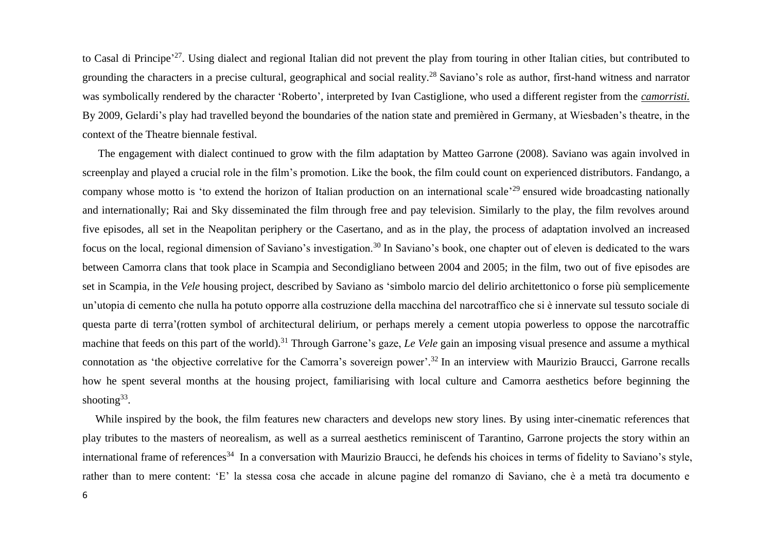to Casal di Principe<sup>, 27</sup>. Using dialect and regional Italian did not prevent the play from touring in other Italian cities, but contributed to grounding the characters in a precise cultural, geographical and social reality.<sup>28</sup> Saviano's role as author, first-hand witness and narrator was symbolically rendered by the character 'Roberto', interpreted by Ivan Castiglione, who used a different register from the *camorristi.* By 2009, Gelardi's play had travelled beyond the boundaries of the nation state and premièred in Germany, at Wiesbaden's theatre, in the context of the Theatre biennale festival.

The engagement with dialect continued to grow with the film adaptation by Matteo Garrone (2008). Saviano was again involved in screenplay and played a crucial role in the film's promotion. Like the book, the film could count on experienced distributors. Fandango, a company whose motto is 'to extend the horizon of Italian production on an international scale<sup>, 29</sup> ensured wide broadcasting nationally and internationally; Rai and Sky disseminated the film through free and pay television. Similarly to the play, the film revolves around five episodes, all set in the Neapolitan periphery or the Casertano, and as in the play, the process of adaptation involved an increased focus on the local, regional dimension of Saviano's investigation.<sup>30</sup> In Saviano's book, one chapter out of eleven is dedicated to the wars between Camorra clans that took place in Scampia and Secondigliano between 2004 and 2005; in the film, two out of five episodes are set in Scampia, in the *Vele* housing project, described by Saviano as 'simbolo marcio del delirio architettonico o forse più semplicemente un'utopia di cemento che nulla ha potuto opporre alla costruzione della macchina del narcotraffico che si è innervate sul tessuto sociale di questa parte di terra'(rotten symbol of architectural delirium, or perhaps merely a cement utopia powerless to oppose the narcotraffic machine that feeds on this part of the world). <sup>31</sup> Through Garrone's gaze, *Le Vele* gain an imposing visual presence and assume a mythical connotation as 'the objective correlative for the Camorra's sovereign power'.<sup>32</sup> In an interview with Maurizio Braucci, Garrone recalls how he spent several months at the housing project, familiarising with local culture and Camorra aesthetics before beginning the shooting $33$ .

While inspired by the book, the film features new characters and develops new story lines. By using inter-cinematic references that play tributes to the masters of neorealism, as well as a surreal aesthetics reminiscent of Tarantino, Garrone projects the story within an international frame of references<sup>34</sup> In a conversation with Maurizio Braucci, he defends his choices in terms of fidelity to Saviano's style, rather than to mere content: 'E' la stessa cosa che accade in alcune pagine del romanzo di Saviano, che è a metà tra documento e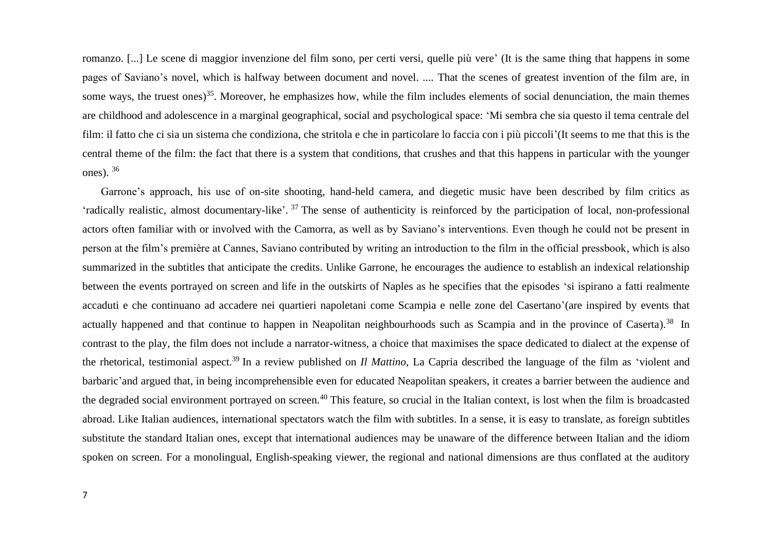romanzo. [...] Le scene di maggior invenzione del film sono, per certi versi, quelle più vere' (It is the same thing that happens in some pages of Saviano's novel, which is halfway between document and novel. .... That the scenes of greatest invention of the film are, in some ways, the truest ones)<sup>35</sup>. Moreover, he emphasizes how, while the film includes elements of social denunciation, the main themes are childhood and adolescence in a marginal geographical, social and psychological space: 'Mi sembra che sia questo il tema centrale del film: il fatto che ci sia un sistema che condiziona, che stritola e che in particolare lo faccia con i più piccoli'(It seems to me that this is the central theme of the film: the fact that there is a system that conditions, that crushes and that this happens in particular with the younger ones).  $36$ 

 Garrone's approach, his use of on-site shooting, hand-held camera, and diegetic music have been described by film critics as 'radically realistic, almost documentary-like'.<sup>37</sup> The sense of authenticity is reinforced by the participation of local, non-professional actors often familiar with or involved with the Camorra, as well as by Saviano's interventions. Even though he could not be present in person at the film's première at Cannes, Saviano contributed by writing an introduction to the film in the official pressbook, which is also summarized in the subtitles that anticipate the credits. Unlike Garrone, he encourages the audience to establish an indexical relationship between the events portrayed on screen and life in the outskirts of Naples as he specifies that the episodes 'si ispirano a fatti realmente accaduti e che continuano ad accadere nei quartieri napoletani come Scampia e nelle zone del Casertano'(are inspired by events that actually happened and that continue to happen in Neapolitan neighbourhoods such as Scampia and in the province of Caserta).<sup>38</sup> In contrast to the play, the film does not include a narrator-witness, a choice that maximises the space dedicated to dialect at the expense of the rhetorical, testimonial aspect.<sup>39</sup> In a review published on *Il Mattino*, La Capria described the language of the film as 'violent and barbaric'and argued that, in being incomprehensible even for educated Neapolitan speakers, it creates a barrier between the audience and the degraded social environment portrayed on screen.<sup>40</sup> This feature, so crucial in the Italian context, is lost when the film is broadcasted abroad. Like Italian audiences, international spectators watch the film with subtitles. In a sense, it is easy to translate, as foreign subtitles substitute the standard Italian ones, except that international audiences may be unaware of the difference between Italian and the idiom spoken on screen. For a monolingual, English-speaking viewer, the regional and national dimensions are thus conflated at the auditory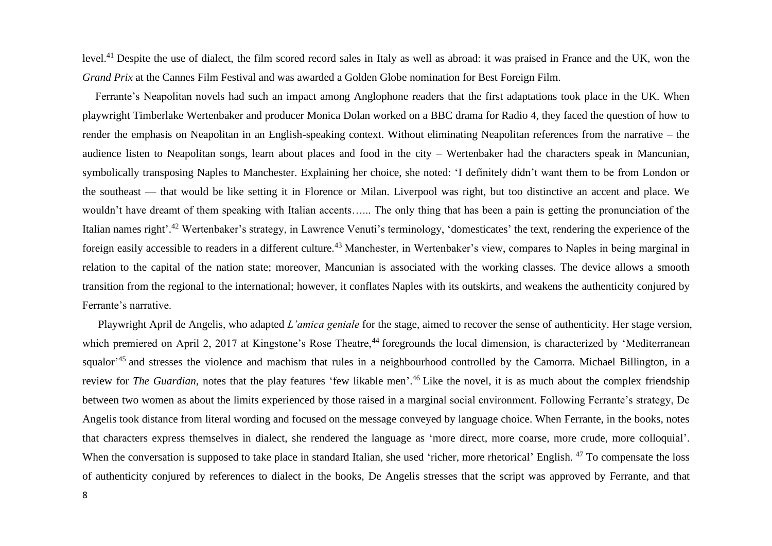level.<sup>41</sup> Despite the use of dialect, the film scored record sales in Italy as well as abroad: it was praised in France and the UK, won the *Grand Prix* at the Cannes Film Festival and was awarded a Golden Globe nomination for Best Foreign Film.

Ferrante's Neapolitan novels had such an impact among Anglophone readers that the first adaptations took place in the UK. When playwright Timberlake Wertenbaker and producer Monica Dolan worked on a BBC drama for Radio 4, they faced the question of how to render the emphasis on Neapolitan in an English-speaking context. Without eliminating Neapolitan references from the narrative – the audience listen to Neapolitan songs, learn about places and food in the city – Wertenbaker had the characters speak in Mancunian, symbolically transposing Naples to Manchester. Explaining her choice, she noted: 'I definitely didn't want them to be from London or the southeast — that would be like setting it in Florence or Milan. Liverpool was right, but too distinctive an accent and place. We wouldn't have dreamt of them speaking with Italian accents…... The only thing that has been a pain is getting the pronunciation of the Italian names right'.<sup>42</sup> Wertenbaker's strategy, in Lawrence Venuti's terminology, 'domesticates' the text, rendering the experience of the foreign easily accessible to readers in a different culture.<sup>43</sup> Manchester, in Wertenbaker's view, compares to Naples in being marginal in relation to the capital of the nation state; moreover, Mancunian is associated with the working classes. The device allows a smooth transition from the regional to the international; however, it conflates Naples with its outskirts, and weakens the authenticity conjured by Ferrante's narrative.

Playwright April de Angelis, who adapted *L'amica geniale* for the stage, aimed to recover the sense of authenticity. Her stage version, which premiered on April 2, 2017 at Kingstone's Rose Theatre,<sup>44</sup> foregrounds the local dimension, is characterized by 'Mediterranean squalor<sup>,45</sup> and stresses the violence and machism that rules in a neighbourhood controlled by the Camorra. Michael Billington, in a review for *The Guardian,* notes that the play features 'few likable men'. <sup>46</sup> Like the novel, it is as much about the complex friendship between two women as about the limits experienced by those raised in a marginal social environment. Following Ferrante's strategy, De Angelis took distance from literal wording and focused on the message conveyed by language choice. When Ferrante, in the books, notes that characters express themselves in dialect, she rendered the language as 'more direct, more coarse, more crude, more colloquial'. When the conversation is supposed to take place in standard Italian, she used 'richer, more rhetorical' English. <sup>47</sup> To compensate the loss of authenticity conjured by references to dialect in the books, De Angelis stresses that the script was approved by Ferrante, and that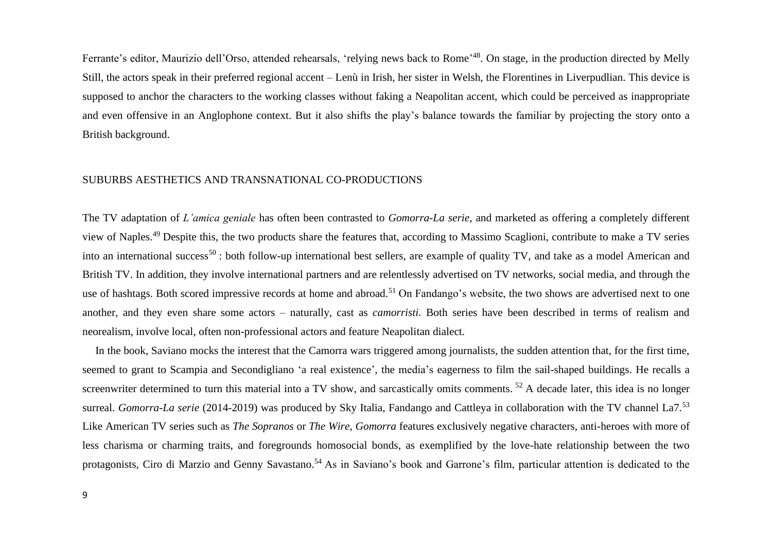Ferrante's editor, Maurizio dell'Orso, attended rehearsals, 'relying news back to Rome'<sup>48</sup>. On stage, in the production directed by Melly Still, the actors speak in their preferred regional accent – Lenù in Irish, her sister in Welsh, the Florentines in Liverpudlian. This device is supposed to anchor the characters to the working classes without faking a Neapolitan accent, which could be perceived as inappropriate and even offensive in an Anglophone context. But it also shifts the play's balance towards the familiar by projecting the story onto a British background.

# SUBURBS AESTHETICS AND TRANSNATIONAL CO-PRODUCTIONS

The TV adaptation of *L'amica geniale* has often been contrasted to *Gomorra-La serie,* and marketed as offering a completely different view of Naples.<sup>49</sup> Despite this, the two products share the features that, according to Massimo Scaglioni, contribute to make a TV series into an international success<sup>50</sup>: both follow-up international best sellers, are example of quality TV, and take as a model American and British TV. In addition, they involve international partners and are relentlessly advertised on TV networks, social media, and through the use of hashtags. Both scored impressive records at home and abroad.<sup>51</sup> On Fandango's website, the two shows are advertised next to one another, and they even share some actors – naturally, cast as *camorristi.* Both series have been described in terms of realism and neorealism, involve local, often non-professional actors and feature Neapolitan dialect.

In the book, Saviano mocks the interest that the Camorra wars triggered among journalists, the sudden attention that, for the first time, seemed to grant to Scampia and Secondigliano 'a real existence', the media's eagerness to film the sail-shaped buildings. He recalls a screenwriter determined to turn this material into a TV show, and sarcastically omits comments. <sup>52</sup> A decade later, this idea is no longer surreal. *Gomorra-La serie* (2014-2019) was produced by Sky Italia, Fandango and Cattleya in collaboration with the TV channel La7.<sup>53</sup> Like American TV series such as *The Sopranos* or *The Wire, Gomorra* features exclusively negative characters, anti-heroes with more of less charisma or charming traits, and foregrounds homosocial bonds, as exemplified by the love-hate relationship between the two protagonists, Ciro di Marzio and Genny Savastano.<sup>54</sup> As in Saviano's book and Garrone's film, particular attention is dedicated to the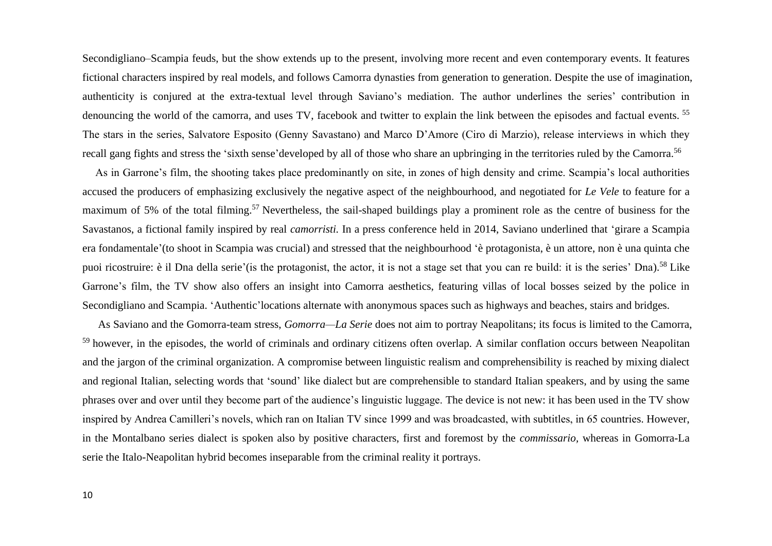Secondigliano–Scampia feuds, but the show extends up to the present, involving more recent and even contemporary events. It features fictional characters inspired by real models, and follows Camorra dynasties from generation to generation. Despite the use of imagination, authenticity is conjured at the extra-textual level through Saviano's mediation. The author underlines the series' contribution in denouncing the world of the camorra, and uses TV, facebook and twitter to explain the link between the episodes and factual events. <sup>55</sup> The stars in the series, Salvatore Esposito (Genny Savastano) and Marco D'Amore (Ciro di Marzio), release interviews in which they recall gang fights and stress the 'sixth sense'developed by all of those who share an upbringing in the territories ruled by the Camorra.<sup>56</sup>

As in Garrone's film, the shooting takes place predominantly on site, in zones of high density and crime. Scampia's local authorities accused the producers of emphasizing exclusively the negative aspect of the neighbourhood, and negotiated for *Le Vele* to feature for a maximum of 5% of the total filming.<sup>57</sup> Nevertheless, the sail-shaped buildings play a prominent role as the centre of business for the Savastanos, a fictional family inspired by real *camorristi.* In a press conference held in 2014, Saviano underlined that 'girare a Scampia era fondamentale'(to shoot in Scampia was crucial) and stressed that the neighbourhood 'è protagonista, è un attore, non è una quinta che puoi ricostruire: è il Dna della serie'(is the protagonist, the actor, it is not a stage set that you can re build: it is the series' Dna).<sup>58</sup> Like Garrone's film, the TV show also offers an insight into Camorra aesthetics, featuring villas of local bosses seized by the police in Secondigliano and Scampia. 'Authentic'locations alternate with anonymous spaces such as highways and beaches, stairs and bridges.

As Saviano and the Gomorra-team stress, *Gomorra—La Serie* does not aim to portray Neapolitans; its focus is limited to the Camorra, <sup>59</sup> however, in the episodes, the world of criminals and ordinary citizens often overlap. A similar conflation occurs between Neapolitan and the jargon of the criminal organization. A compromise between linguistic realism and comprehensibility is reached by mixing dialect and regional Italian, selecting words that 'sound' like dialect but are comprehensible to standard Italian speakers, and by using the same phrases over and over until they become part of the audience's linguistic luggage. The device is not new: it has been used in the TV show inspired by Andrea Camilleri's novels, which ran on Italian TV since 1999 and was broadcasted, with subtitles, in 65 countries. However, in the Montalbano series dialect is spoken also by positive characters, first and foremost by the *commissario,* whereas in Gomorra-La serie the Italo-Neapolitan hybrid becomes inseparable from the criminal reality it portrays.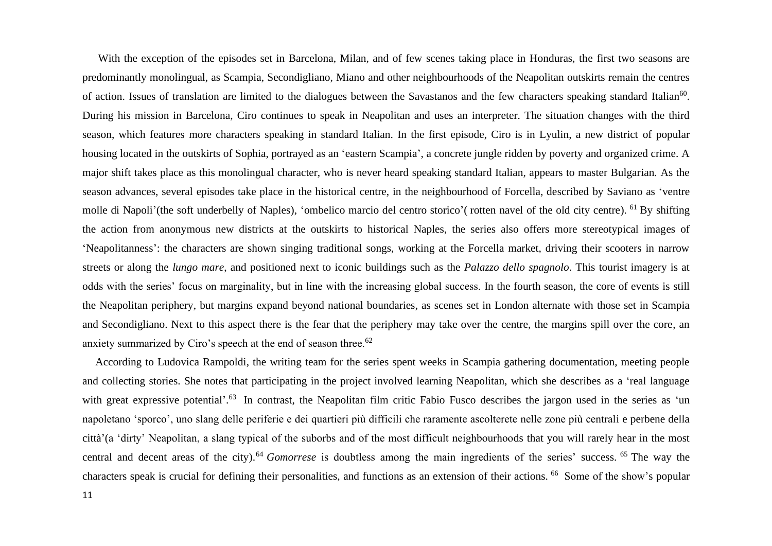With the exception of the episodes set in Barcelona, Milan, and of few scenes taking place in Honduras, the first two seasons are predominantly monolingual, as Scampia, Secondigliano, Miano and other neighbourhoods of the Neapolitan outskirts remain the centres of action. Issues of translation are limited to the dialogues between the Savastanos and the few characters speaking standard Italian<sup>60</sup>. During his mission in Barcelona, Ciro continues to speak in Neapolitan and uses an interpreter. The situation changes with the third season, which features more characters speaking in standard Italian. In the first episode, Ciro is in Lyulin, a new district of popular housing located in the outskirts of Sophia, portrayed as an 'eastern Scampia', a concrete jungle ridden by poverty and organized crime. A major shift takes place as this monolingual character, who is never heard speaking standard Italian, appears to master Bulgarian*.* As the season advances, several episodes take place in the historical centre, in the neighbourhood of Forcella, described by Saviano as 'ventre molle di Napoli'(the soft underbelly of Naples), 'ombelico marcio del centro storico'( rotten navel of the old city centre). <sup>61</sup> By shifting the action from anonymous new districts at the outskirts to historical Naples, the series also offers more stereotypical images of 'Neapolitanness': the characters are shown singing traditional songs, working at the Forcella market, driving their scooters in narrow streets or along the *lungo mare*, and positioned next to iconic buildings such as the *Palazzo dello spagnolo*. This tourist imagery is at odds with the series' focus on marginality, but in line with the increasing global success. In the fourth season, the core of events is still the Neapolitan periphery, but margins expand beyond national boundaries, as scenes set in London alternate with those set in Scampia and Secondigliano. Next to this aspect there is the fear that the periphery may take over the centre, the margins spill over the core, an anxiety summarized by Ciro's speech at the end of season three.<sup>62</sup>

According to Ludovica Rampoldi, the writing team for the series spent weeks in Scampia gathering documentation, meeting people and collecting stories. She notes that participating in the project involved learning Neapolitan, which she describes as a 'real language with great expressive potential'.<sup>63</sup> In contrast, the Neapolitan film critic Fabio Fusco describes the jargon used in the series as 'un napoletano 'sporco', uno slang delle periferie e dei quartieri più difficili che raramente ascolterete nelle zone più centrali e perbene della città'(a 'dirty' Neapolitan, a slang typical of the suborbs and of the most difficult neighbourhoods that you will rarely hear in the most central and decent areas of the city). <sup>64</sup> *Gomorrese* is doubtless among the main ingredients of the series' success. <sup>65</sup> The way the characters speak is crucial for defining their personalities, and functions as an extension of their actions. <sup>66</sup> Some of the show's popular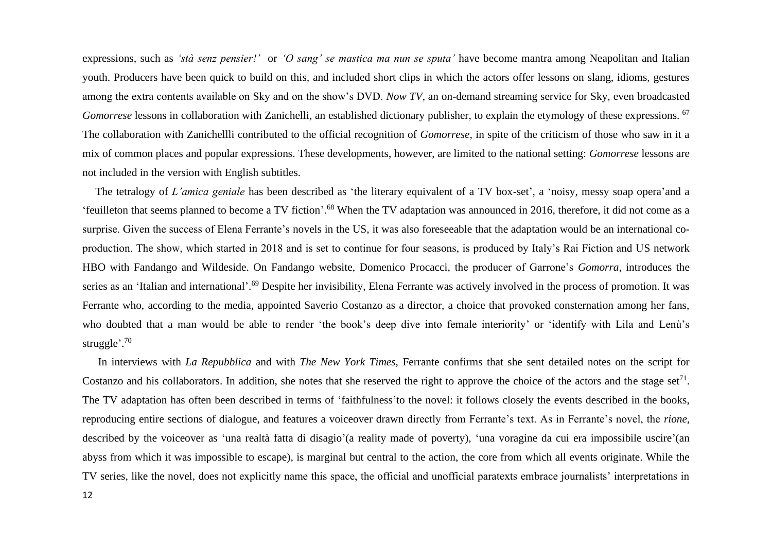expressions, such as *'stà senz pensier!'* or *'O sang' se mastica ma nun se sputa'* have become mantra among Neapolitan and Italian youth. Producers have been quick to build on this*,* and included short clips in which the actors offer lessons on slang, idioms, gestures among the extra contents available on Sky and on the show's DVD. *Now TV*, an on-demand streaming service for Sky, even broadcasted Gomorrese lessons in collaboration with Zanichelli, an established dictionary publisher, to explain the etymology of these expressions. <sup>67</sup> The collaboration with Zanichellli contributed to the official recognition of *Gomorrese,* in spite of the criticism of those who saw in it a mix of common places and popular expressions. These developments, however, are limited to the national setting: *Gomorrese* lessons are not included in the version with English subtitles.

The tetralogy of *L'amica geniale* has been described as 'the literary equivalent of a TV box-set', a 'noisy, messy soap opera'and a 'feuilleton that seems planned to become a TV fiction'.<sup>68</sup> When the TV adaptation was announced in 2016, therefore, it did not come as a surprise. Given the success of Elena Ferrante's novels in the US, it was also foreseeable that the adaptation would be an international coproduction. The show, which started in 2018 and is set to continue for four seasons, is produced by Italy's Rai Fiction and US network HBO with Fandango and Wildeside. On Fandango website, Domenico Procacci, the producer of Garrone's *Gomorra,* introduces the series as an 'Italian and international'.<sup>69</sup> Despite her invisibility, Elena Ferrante was actively involved in the process of promotion. It was Ferrante who, according to the media, appointed Saverio Costanzo as a director, a choice that provoked consternation among her fans, who doubted that a man would be able to render 'the book's deep dive into female interiority' or 'identify with Lila and Lenù's struggle'. 70

In interviews with *La Repubblica* and with *The New York Times,* Ferrante confirms that she sent detailed notes on the script for Costanzo and his collaborators. In addition, she notes that she reserved the right to approve the choice of the actors and the stage set<sup>71</sup>. The TV adaptation has often been described in terms of 'faithfulness'to the novel: it follows closely the events described in the books, reproducing entire sections of dialogue, and features a voiceover drawn directly from Ferrante's text. As in Ferrante's novel, the *rione,* described by the voiceover as 'una realtà fatta di disagio'(a reality made of poverty), 'una voragine da cui era impossibile uscire'(an abyss from which it was impossible to escape), is marginal but central to the action, the core from which all events originate. While the TV series, like the novel, does not explicitly name this space, the official and unofficial paratexts embrace journalists' interpretations in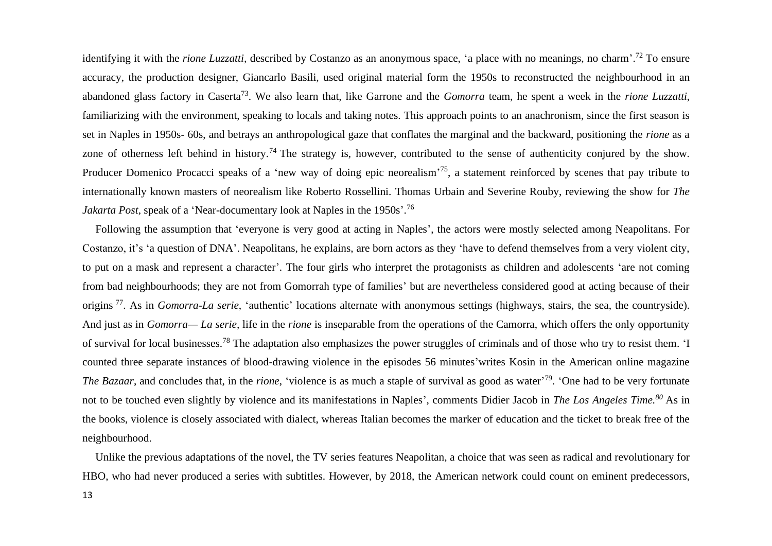identifying it with the *rione Luzzatti*, described by Costanzo as an anonymous space, 'a place with no meanings, no charm'.<sup>72</sup> To ensure accuracy, the production designer, Giancarlo Basili, used original material form the 1950s to reconstructed the neighbourhood in an abandoned glass factory in Caserta<sup>73</sup>. We also learn that, like Garrone and the *Gomorra* team, he spent a week in the *rione Luzzatti*, familiarizing with the environment, speaking to locals and taking notes. This approach points to an anachronism, since the first season is set in Naples in 1950s- 60s, and betrays an anthropological gaze that conflates the marginal and the backward, positioning the *rione* as a zone of otherness left behind in history.<sup>74</sup> The strategy is, however, contributed to the sense of authenticity conjured by the show. Producer Domenico Procacci speaks of a 'new way of doing epic neorealism'<sup>75</sup>, a statement reinforced by scenes that pay tribute to internationally known masters of neorealism like Roberto Rossellini. Thomas Urbain and Severine Rouby, reviewing the show for *The Jakarta Post*, speak of a 'Near-documentary look at Naples in the 1950s'. 76

Following the assumption that 'everyone is very good at acting in Naples', the actors were mostly selected among Neapolitans. For Costanzo, it's 'a question of DNA'. Neapolitans, he explains, are born actors as they 'have to defend themselves from a very violent city, to put on a mask and represent a character'. The four girls who interpret the protagonists as children and adolescents 'are not coming from bad neighbourhoods; they are not from Gomorrah type of families' but are nevertheless considered good at acting because of their origins <sup>77</sup>. As in *Gomorra-La serie*, 'authentic' locations alternate with anonymous settings (highways, stairs, the sea, the countryside). And just as in *Gomorra— La serie,* life in the *rione* is inseparable from the operations of the Camorra, which offers the only opportunity of survival for local businesses.<sup>78</sup> The adaptation also emphasizes the power struggles of criminals and of those who try to resist them. 'I counted three separate instances of blood-drawing violence in the episodes 56 minutes'writes Kosin in the American online magazine The Bazaar, and concludes that, in the *rione*, 'violence is as much a staple of survival as good as water<sup>'79</sup>. 'One had to be very fortunate not to be touched even slightly by violence and its manifestations in Naples', comments Didier Jacob in *The Los Angeles Time.<sup>80</sup>* As in the books, violence is closely associated with dialect, whereas Italian becomes the marker of education and the ticket to break free of the neighbourhood.

Unlike the previous adaptations of the novel, the TV series features Neapolitan, a choice that was seen as radical and revolutionary for HBO, who had never produced a series with subtitles. However, by 2018, the American network could count on eminent predecessors,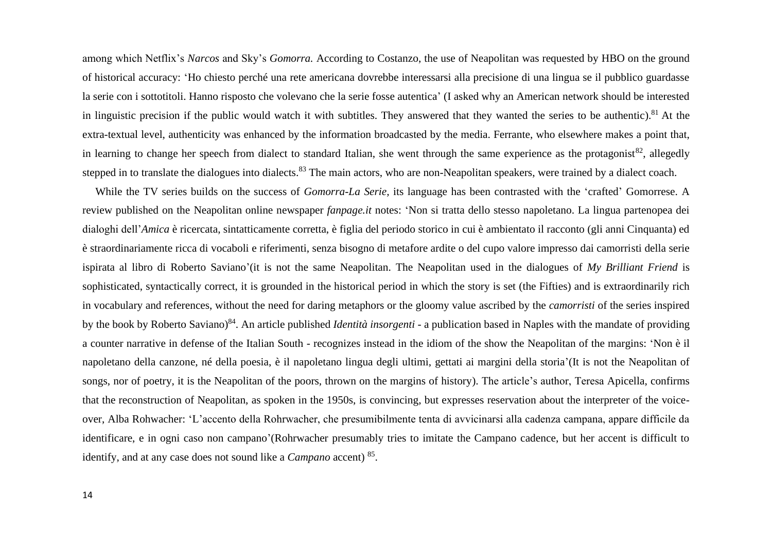among which Netflix's *Narcos* and Sky's *Gomorra.* According to Costanzo, the use of Neapolitan was requested by HBO on the ground of historical accuracy: 'Ho chiesto perché una rete americana dovrebbe interessarsi alla precisione di una lingua se il pubblico guardasse la serie con i sottotitoli. Hanno risposto che volevano che la serie fosse autentica' (I asked why an American network should be interested in linguistic precision if the public would watch it with subtitles. They answered that they wanted the series to be authentic).<sup>81</sup> At the extra-textual level, authenticity was enhanced by the information broadcasted by the media. Ferrante, who elsewhere makes a point that, in learning to change her speech from dialect to standard Italian, she went through the same experience as the protagonist<sup>82</sup>, allegedly stepped in to translate the dialogues into dialects.<sup>83</sup> The main actors, who are non-Neapolitan speakers, were trained by a dialect coach.

While the TV series builds on the success of *Gomorra-La Serie,* its language has been contrasted with the 'crafted' Gomorrese. A review published on the Neapolitan online newspaper *fanpage.it* notes: 'Non si tratta dello stesso napoletano. La lingua partenopea dei dialoghi dell'*Amica* è ricercata, sintatticamente corretta, è figlia del periodo storico in cui è ambientato il racconto (gli anni Cinquanta) ed è straordinariamente ricca di vocaboli e riferimenti, senza bisogno di metafore ardite o del cupo valore impresso dai camorristi della serie ispirata al libro di Roberto Saviano'(it is not the same Neapolitan. The Neapolitan used in the dialogues of *My Brilliant Friend* is sophisticated, syntactically correct, it is grounded in the historical period in which the story is set (the Fifties) and is extraordinarily rich in vocabulary and references, without the need for daring metaphors or the gloomy value ascribed by the *camorristi* of the series inspired by the book by Roberto Saviano) 84 . An article published *Identità insorgenti* - a publication based in Naples with the mandate of providing a counter narrative in defense of the Italian South *-* recognizes instead in the idiom of the show the Neapolitan of the margins: 'Non è il napoletano della canzone, né della poesia, è il napoletano lingua degli ultimi, gettati ai margini della storia'(It is not the Neapolitan of songs, nor of poetry, it is the Neapolitan of the poors, thrown on the margins of history). The article's author, Teresa Apicella, confirms that the reconstruction of Neapolitan, as spoken in the 1950s, is convincing, but expresses reservation about the interpreter of the voiceover, Alba Rohwacher: 'L'accento della Rohrwacher, che presumibilmente tenta di avvicinarsi alla cadenza campana, appare difficile da identificare, e in ogni caso non campano'(Rohrwacher presumably tries to imitate the Campano cadence, but her accent is difficult to identify, and at any case does not sound like a *Campano* accent) 85 .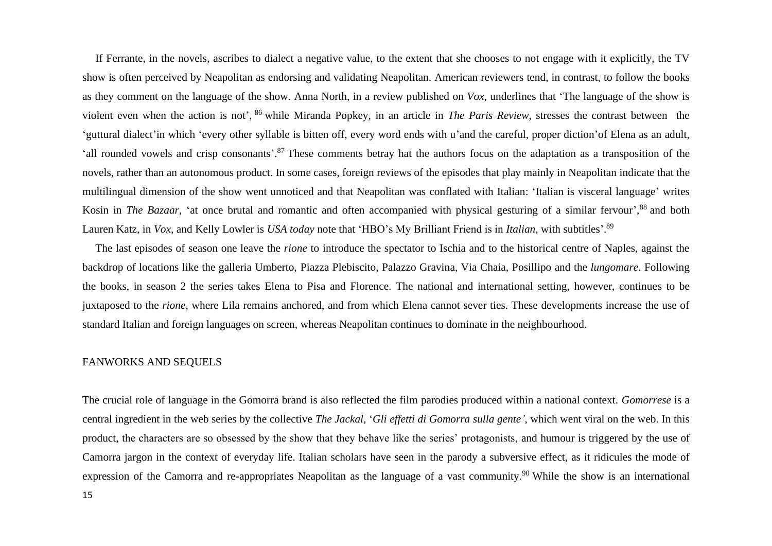If Ferrante, in the novels, ascribes to dialect a negative value, to the extent that she chooses to not engage with it explicitly, the TV show is often perceived by Neapolitan as endorsing and validating Neapolitan. American reviewers tend, in contrast, to follow the books as they comment on the language of the show. Anna North, in a review published on *Vox,* underlines that 'The language of the show is violent even when the action is not', <sup>86</sup> while Miranda Popkey, in an article in *The Paris Review,* stresses the contrast between the 'guttural dialect'in which 'every other syllable is bitten off, every word ends with u'and the careful, proper diction'of Elena as an adult, 'all rounded vowels and crisp consonants'.<sup>87</sup> These comments betray hat the authors focus on the adaptation as a transposition of the novels, rather than an autonomous product. In some cases, foreign reviews of the episodes that play mainly in Neapolitan indicate that the multilingual dimension of the show went unnoticed and that Neapolitan was conflated with Italian: 'Italian is visceral language' writes Kosin in *The Bazaar*, 'at once brutal and romantic and often accompanied with physical gesturing of a similar fervour',<sup>88</sup> and both Lauren Katz, in *Vox*, and Kelly Lowler is *USA today* note that 'HBO's My Brilliant Friend is in *Italian*, with subtitles'. 89

The last episodes of season one leave the *rione* to introduce the spectator to Ischia and to the historical centre of Naples, against the backdrop of locations like the galleria Umberto, Piazza Plebiscito, Palazzo Gravina, Via Chaia, Posillipo and the *lungomare*. Following the books, in season 2 the series takes Elena to Pisa and Florence. The national and international setting, however, continues to be juxtaposed to the *rione,* where Lila remains anchored, and from which Elena cannot sever ties. These developments increase the use of standard Italian and foreign languages on screen, whereas Neapolitan continues to dominate in the neighbourhood.

#### FANWORKS AND SEQUELS

The crucial role of language in the Gomorra brand is also reflected the film parodies produced within a national context. *Gomorrese* is a central ingredient in the web series by the collective *The Jackal,* '*Gli effetti di Gomorra sulla gente'*, which went viral on the web. In this product, the characters are so obsessed by the show that they behave like the series' protagonists, and humour is triggered by the use of Camorra jargon in the context of everyday life. Italian scholars have seen in the parody a subversive effect, as it ridicules the mode of expression of the Camorra and re-appropriates Neapolitan as the language of a vast community.<sup>90</sup> While the show is an international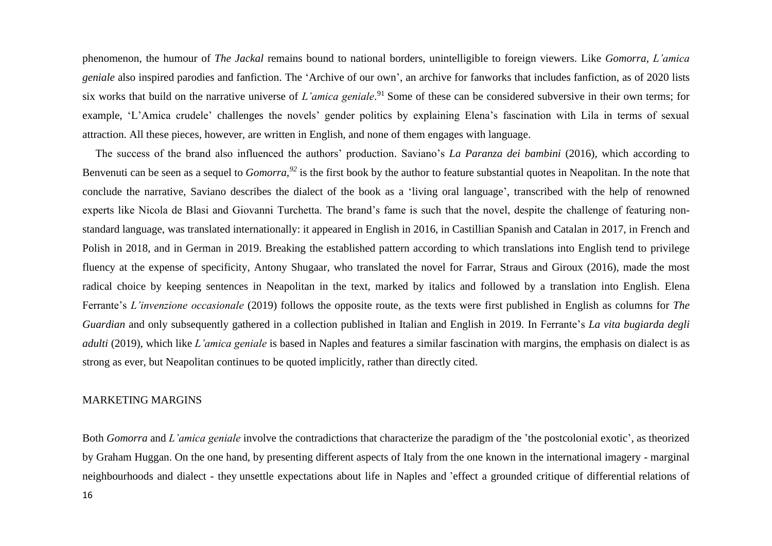phenomenon, the humour of *The Jackal* remains bound to national borders, unintelligible to foreign viewers. Like *Gomorra*, *L'amica geniale* also inspired parodies and fanfiction. The 'Archive of our own', an archive for fanworks that includes fanfiction, as of 2020 lists six works that build on the narrative universe of *L'amica geniale*. <sup>91</sup> Some of these can be considered subversive in their own terms; for example, 'L'Amica crudele' challenges the novels' gender politics by explaining Elena's fascination with Lila in terms of sexual attraction. All these pieces, however, are written in English, and none of them engages with language.

The success of the brand also influenced the authors' production. Saviano's *La Paranza dei bambini* (2016), which according to Benvenuti can be seen as a sequel to *Gomorra,<sup>92</sup>* is the first book by the author to feature substantial quotes in Neapolitan. In the note that conclude the narrative, Saviano describes the dialect of the book as a 'living oral language', transcribed with the help of renowned experts like Nicola de Blasi and Giovanni Turchetta. The brand's fame is such that the novel, despite the challenge of featuring nonstandard language, was translated internationally: it appeared in English in 2016, in Castillian Spanish and Catalan in 2017, in French and Polish in 2018, and in German in 2019. Breaking the established pattern according to which translations into English tend to privilege fluency at the expense of specificity, Antony Shugaar, who translated the novel for Farrar, Straus and Giroux (2016), made the most radical choice by keeping sentences in Neapolitan in the text, marked by italics and followed by a translation into English. Elena Ferrante's *L'invenzione occasionale* (2019) follows the opposite route, as the texts were first published in English as columns for *The Guardian* and only subsequently gathered in a collection published in Italian and English in 2019. In Ferrante's *La vita bugiarda degli adulti* (2019), which like *L'amica geniale* is based in Naples and features a similar fascination with margins, the emphasis on dialect is as strong as ever, but Neapolitan continues to be quoted implicitly, rather than directly cited.

#### MARKETING MARGINS

16 Both *Gomorra* and *L'amica geniale* involve the contradictions that characterize the paradigm of the 'the postcolonial exotic', as theorized by Graham Huggan. On the one hand, by presenting different aspects of Italy from the one known in the international imagery - marginal neighbourhoods and dialect - they unsettle expectations about life in Naples and 'effect a grounded critique of differential relations of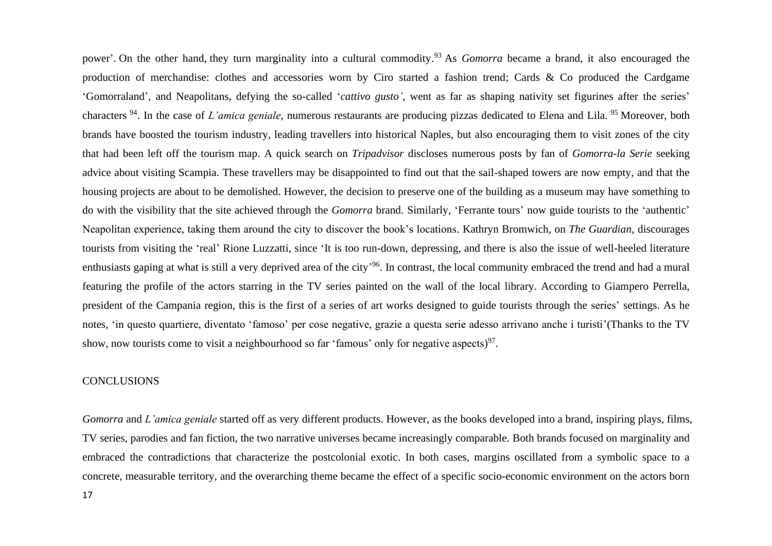power'. On the other hand, they turn marginality into a cultural commodity. <sup>93</sup> As *Gomorra* became a brand, it also encouraged the production of merchandise: clothes and accessories worn by Ciro started a fashion trend; Cards & Co produced the Cardgame 'Gomorraland', and Neapolitans, defying the so-called '*cattivo gusto',* went as far as shaping nativity set figurines after the series' characters <sup>94</sup>. In the case of *L'amica geniale*, numerous restaurants are producing pizzas dedicated to Elena and Lila. <sup>95</sup> Moreover, both brands have boosted the tourism industry, leading travellers into historical Naples, but also encouraging them to visit zones of the city that had been left off the tourism map. A quick search on *Tripadvisor* discloses numerous posts by fan of *Gomorra-la Serie* seeking advice about visiting Scampia. These travellers may be disappointed to find out that the sail-shaped towers are now empty, and that the housing projects are about to be demolished. However, the decision to preserve one of the building as a museum may have something to do with the visibility that the site achieved through the *Gomorra* brand. Similarly, 'Ferrante tours' now guide tourists to the 'authentic' Neapolitan experience, taking them around the city to discover the book's locations. Kathryn Bromwich, on *The Guardian,* discourages tourists from visiting the 'real' Rione Luzzatti, since 'It is too run-down, depressing, and there is also the issue of well-heeled literature enthusiasts gaping at what is still a very deprived area of the city<sup>-96</sup>. In contrast, the local community embraced the trend and had a mural featuring the profile of the actors starring in the TV series painted on the wall of the local library. According to Giampero Perrella, president of the Campania region, this is the first of a series of art works designed to guide tourists through the series' settings. As he notes, 'in questo quartiere, diventato 'famoso' per cose negative, grazie a questa serie adesso arrivano anche i turisti'(Thanks to the TV show, now tourists come to visit a neighbourhood so far 'famous' only for negative aspects) $97$ .

# **CONCLUSIONS**

*Gomorra* and *L'amica geniale* started off as very different products. However, as the books developed into a brand, inspiring plays, films, TV series, parodies and fan fiction, the two narrative universes became increasingly comparable. Both brands focused on marginality and embraced the contradictions that characterize the postcolonial exotic. In both cases, margins oscillated from a symbolic space to a concrete, measurable territory, and the overarching theme became the effect of a specific socio-economic environment on the actors born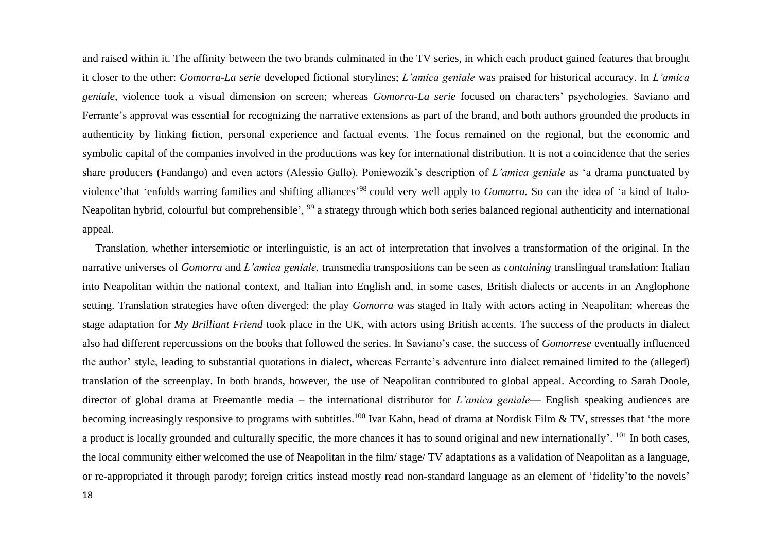and raised within it. The affinity between the two brands culminated in the TV series, in which each product gained features that brought it closer to the other: *Gomorra-La serie* developed fictional storylines; *L'amica geniale* was praised for historical accuracy. In *L'amica geniale,* violence took a visual dimension on screen; whereas *Gomorra-La serie* focused on characters' psychologies. Saviano and Ferrante's approval was essential for recognizing the narrative extensions as part of the brand, and both authors grounded the products in authenticity by linking fiction, personal experience and factual events. The focus remained on the regional, but the economic and symbolic capital of the companies involved in the productions was key for international distribution. It is not a coincidence that the series share producers (Fandango) and even actors (Alessio Gallo). Poniewozik's description of *L'amica geniale* as 'a drama punctuated by violence'that 'enfolds warring families and shifting alliances' <sup>98</sup> could very well apply to *Gomorra.* So can the idea of 'a kind of Italo-Neapolitan hybrid, colourful but comprehensible', <sup>99</sup> a strategy through which both series balanced regional authenticity and international appeal.

Translation, whether intersemiotic or interlinguistic, is an act of interpretation that involves a transformation of the original. In the narrative universes of *Gomorra* and *L'amica geniale,* transmedia transpositions can be seen as *containing* translingual translation: Italian into Neapolitan within the national context, and Italian into English and, in some cases, British dialects or accents in an Anglophone setting. Translation strategies have often diverged: the play *Gomorra* was staged in Italy with actors acting in Neapolitan; whereas the stage adaptation for *My Brilliant Friend* took place in the UK, with actors using British accents. The success of the products in dialect also had different repercussions on the books that followed the series. In Saviano's case, the success of *Gomorrese* eventually influenced the author' style, leading to substantial quotations in dialect, whereas Ferrante's adventure into dialect remained limited to the (alleged) translation of the screenplay. In both brands, however, the use of Neapolitan contributed to global appeal. According to Sarah Doole, director of global drama at Freemantle media – the international distributor for *L'amica geniale*— English speaking audiences are becoming increasingly responsive to programs with subtitles.<sup>100</sup> Ivar Kahn, head of drama at Nordisk Film & TV, stresses that 'the more a product is locally grounded and culturally specific, the more chances it has to sound original and new internationally'. <sup>101</sup> In both cases, the local community either welcomed the use of Neapolitan in the film/ stage/ TV adaptations as a validation of Neapolitan as a language, or re-appropriated it through parody; foreign critics instead mostly read non-standard language as an element of 'fidelity'to the novels'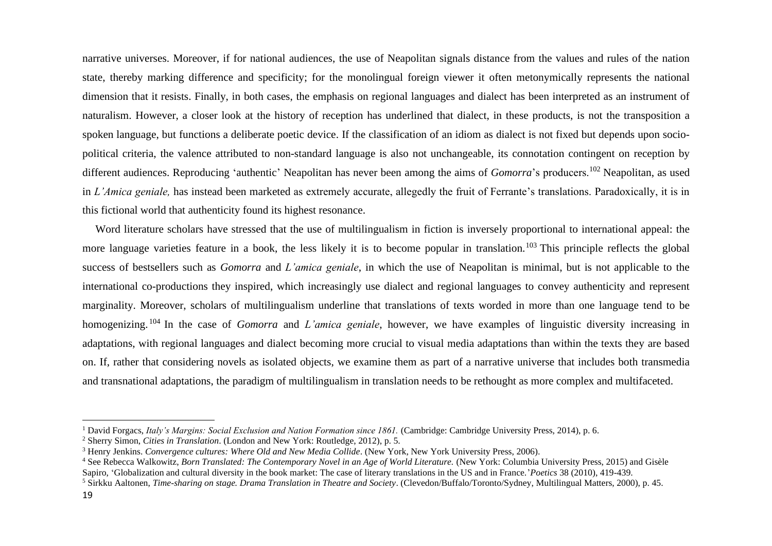narrative universes. Moreover, if for national audiences, the use of Neapolitan signals distance from the values and rules of the nation state, thereby marking difference and specificity; for the monolingual foreign viewer it often metonymically represents the national dimension that it resists. Finally, in both cases, the emphasis on regional languages and dialect has been interpreted as an instrument of naturalism. However, a closer look at the history of reception has underlined that dialect, in these products, is not the transposition a spoken language, but functions a deliberate poetic device. If the classification of an idiom as dialect is not fixed but depends upon sociopolitical criteria, the valence attributed to non-standard language is also not unchangeable, its connotation contingent on reception by different audiences. Reproducing 'authentic' Neapolitan has never been among the aims of *Gomorra*'s producers.<sup>102</sup> Neapolitan, as used in *L'Amica geniale,* has instead been marketed as extremely accurate, allegedly the fruit of Ferrante's translations. Paradoxically, it is in this fictional world that authenticity found its highest resonance.

Word literature scholars have stressed that the use of multilingualism in fiction is inversely proportional to international appeal: the more language varieties feature in a book, the less likely it is to become popular in translation.<sup>103</sup> This principle reflects the global success of bestsellers such as *Gomorra* and *L'amica geniale*, in which the use of Neapolitan is minimal, but is not applicable to the international co-productions they inspired, which increasingly use dialect and regional languages to convey authenticity and represent marginality. Moreover, scholars of multilingualism underline that translations of texts worded in more than one language tend to be homogenizing. <sup>104</sup> In the case of *Gomorra* and *L'amica geniale*, however, we have examples of linguistic diversity increasing in adaptations, with regional languages and dialect becoming more crucial to visual media adaptations than within the texts they are based on. If, rather that considering novels as isolated objects, we examine them as part of a narrative universe that includes both transmedia and transnational adaptations, the paradigm of multilingualism in translation needs to be rethought as more complex and multifaceted.

<sup>&</sup>lt;sup>1</sup> David Forgacs, *Italy's Margins: Social Exclusion and Nation Formation since 1861*. (Cambridge: Cambridge University Press, 2014), p. 6.

<sup>2</sup> Sherry Simon, *Cities in Translation*. (London and New York: Routledge, 2012), p. 5.

<sup>3</sup> Henry Jenkins. *Convergence cultures: Where Old and New Media Collide*. (New York, New York University Press, 2006).

<sup>&</sup>lt;sup>4</sup> See Rebecca Walkowitz, *Born Translated: The Contemporary Novel in an Age of World Literature.* (New York: Columbia University Press, 2015) and Gisèle Sapiro, 'Globalization and cultural diversity in the book market: The case of literary translations in the US and in France.'*Poetics* 38 (2010), 419-439.

<sup>5</sup> Sirkku Aaltonen, *Time-sharing on stage. Drama Translation in Theatre and Society*. (Clevedon/Buffalo/Toronto/Sydney, Multilingual Matters, 2000), p. 45.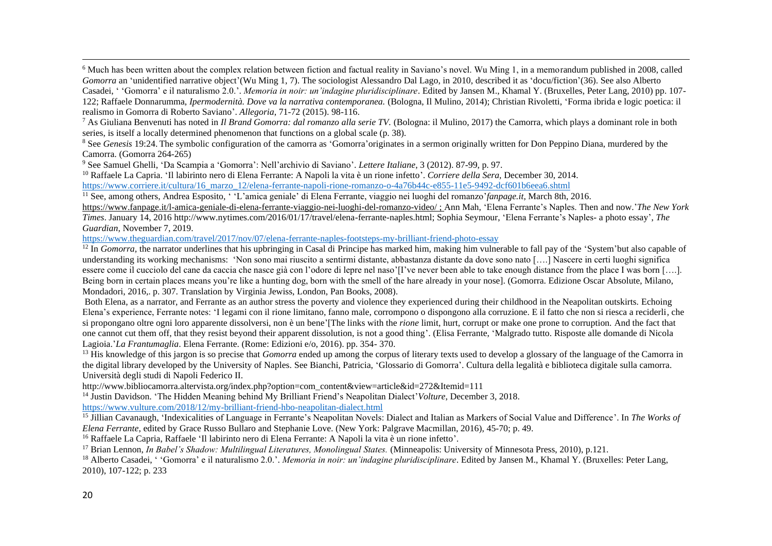<sup>6</sup> Much has been written about the complex relation between fiction and factual reality in Saviano's novel. Wu Ming 1, in a memorandum published in 2008, called *Gomorra* an 'unidentified narrative object'(Wu Ming 1, 7). The sociologist Alessandro Dal Lago, in 2010, described it as 'docu/fiction'(36). See also Alberto Casadei, ' 'Gomorra' e il naturalismo 2.0.'. *Memoria in noir: un'indagine pluridisciplinare*. Edited by Jansen M., Khamal Y. (Bruxelles, Peter Lang, 2010) pp. 107- 122; Raffaele Donnarumma, *Ipermodernità. Dove va la narrativa contemporanea.* (Bologna, Il Mulino, 2014); Christian Rivoletti, 'Forma ibrida e logic poetica: il

realismo in Gomorra di Roberto Saviano'. *Allegoria*, 71-72 (2015). 98-116.

<sup>7</sup> As Giuliana Benvenuti has noted in *Il Brand Gomorra: dal romanzo alla serie TV.* (Bologna: il Mulino, 2017) the Camorra, which plays a dominant role in both series, is itself a locally determined phenomenon that functions on a global scale (p. 38).

<sup>8</sup> See *Genesis* 19:24. The symbolic configuration of the camorra as 'Gomorra'originates in a sermon originally written for Don Peppino Diana, murdered by the Camorra. (Gomorra 264-265)

<sup>9</sup> See Samuel Ghelli, 'Da Scampia a 'Gomorra': Nell'archivio di Saviano'. *Lettere Italiane*, 3 (2012). 87-99, p. 97.

<sup>10</sup> Raffaele La Capria. 'Il labirinto nero di Elena Ferrante: A Napoli la vita è un rione infetto'. *Corriere della Sera,* December 30, 2014.

[https://www.corriere.it/cultura/16\\_marzo\\_12/elena-ferrante-napoli-rione-romanzo-o-4a76b44c-e855-11e5-9492-dcf601b6eea6.shtml](https://www.corriere.it/cultura/16_marzo_12/elena-ferrante-napoli-rione-romanzo-o-4a76b44c-e855-11e5-9492-dcf601b6eea6.shtml)

<sup>11</sup> See, among others, Andrea Esposito, ' 'L'amica geniale' di Elena Ferrante, viaggio nei luoghi del romanzo'*fanpage.it*, March 8th, 2016. <https://www.fanpage.it/l-amica-geniale-di-elena-ferrante-viaggio-nei-luoghi-del-romanzo-video/> ; Ann Mah, 'Elena Ferrante's Naples. Then and now.'*The New York Times*. January 14, 2016 http://www.nytimes.com/2016/01/17/travel/elena-ferrante-naples.html; Sophia Seymour, 'Elena Ferrante's Naples- a photo essay', *The* 

*Guardian,* November 7, 2019.

<https://www.theguardian.com/travel/2017/nov/07/elena-ferrante-naples-footsteps-my-brilliant-friend-photo-essay>

<sup>12</sup> In *Gomorra*, the narrator underlines that his upbringing in Casal di Principe has marked him, making him vulnerable to fall pay of the 'System'but also capable of understanding its working mechanisms: 'Non sono mai riuscito a sentirmi distante, abbastanza distante da dove sono nato [….] Nascere in certi luoghi significa essere come il cucciolo del cane da caccia che nasce già con l'odore di lepre nel naso'[I've never been able to take enough distance from the place I was born [….]. Being born in certain places means you're like a hunting dog, born with the smell of the hare already in your nose]. (Gomorra. Edizione Oscar Absolute, Milano, Mondadori, 2016,. p. 307. Translation by Virginia Jewiss, London, Pan Books, 2008).

Both Elena, as a narrator, and Ferrante as an author stress the poverty and violence they experienced during their childhood in the Neapolitan outskirts. Echoing Elena's experience, Ferrante notes: 'I legami con il rione limitano, fanno male, corrompono o dispongono alla corruzione. E il fatto che non si riesca a reciderli, che si propongano oltre ogni loro apparente dissolversi, non è un bene'[The links with the *rione* limit, hurt, corrupt or make one prone to corruption. And the fact that one cannot cut them off, that they resist beyond their apparent dissolution, is not a good thing'. (Elisa Ferrante, 'Malgrado tutto. Risposte alle domande di Nicola Lagioia.'*La Frantumaglia*. Elena Ferrante. (Rome: Edizioni e/o, 2016). pp. 354- 370.

<sup>13</sup> His knowledge of this jargon is so precise that *Gomorra* ended up among the corpus of literary texts used to develop a glossary of the language of the Camorra in the digital library developed by the University of Naples. See Bianchi, Patricia, 'Glossario di Gomorra'. Cultura della legalità e biblioteca digitale sulla camorra. Università degli studi di Napoli Federico II.

http://www.bibliocamorra.altervista.org/index.php?option=com\_content&view=article&id=272&Itemid=111

<sup>14</sup> Justin Davidson. 'The Hidden Meaning behind My Brilliant Friend's Neapolitan Dialect'Volture, December 3, 2018.

https://www.vulture.com/2018/12/my-brilliant-friend-hbo-neapolitan-dialect.html

<sup>15</sup> Jillian Cavanaugh, 'Indexicalities of Language in Ferrante's Neapolitan Novels: Dialect and Italian as Markers of Social Value and Difference'. In *The Works of Elena Ferrante*, edited by Grace Russo Bullaro and Stephanie Love. (New York: Palgrave Macmillan, 2016), 45-70; p. 49.

<sup>16</sup> Raffaele La Capria, Raffaele 'Il labirinto nero di Elena Ferrante: A Napoli la vita è un rione infetto'.

<sup>17</sup> Brian Lennon, *In Babel's Shadow: Multilingual Literatures, Monolingual States.* (Minneapolis: University of Minnesota Press, 2010), p.121.

<sup>18</sup> Alberto Casadei, ' 'Gomorra' e il naturalismo 2.0.'. *Memoria in noir: un'indagine pluridisciplinare*. Edited by Jansen M., Khamal Y. (Bruxelles: Peter Lang, 2010), 107-122; p. 233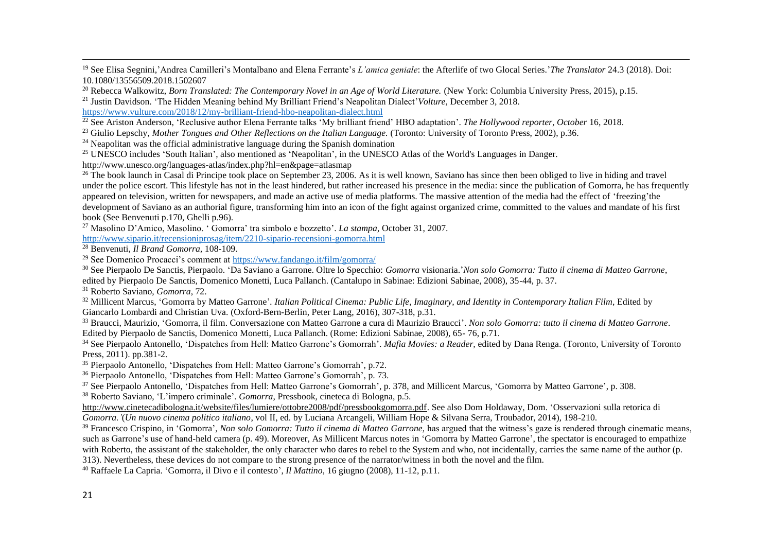<sup>19</sup> See Elisa Segnini,'Andrea Camilleri's Montalbano and Elena Ferrante's *L'amica geniale*: the Afterlife of two Glocal Series.'*The Translator* 24.3 (2018). Doi: 10.1080/13556509.2018.1502607

<sup>20</sup> Rebecca Walkowitz, *Born Translated: The Contemporary Novel in an Age of World Literature.* (New York: Columbia University Press, 2015), p.15. <sup>21</sup> Justin Davidson. 'The Hidden Meaning behind My Brilliant Friend's Neapolitan Dialect'*Volture*, December 3, 2018.

https://www.vulture.com/2018/12/my-brilliant-friend-hbo-neapolitan-dialect.html

<sup>22</sup> See Ariston Anderson, 'Reclusive author Elena Ferrante talks 'My brilliant friend' HBO adaptation'. *The Hollywood reporter, October* 16, 2018.

<sup>23</sup> Giulio Lepschy, *Mother Tongues and Other Reflections on the Italian Language.* (Toronto: University of Toronto Press, 2002), p.36.

 $24$  Neapolitan was the official administrative language during the Spanish domination

<sup>25</sup> UNESCO includes 'South Italian', also mentioned as 'Neapolitan', in the UNESCO Atlas of the World's Languages in Danger. http://www.unesco.org/languages-atlas/index.php?hl=en&page=atlasmap

<sup>26</sup> The book launch in Casal di Principe took place on September 23, 2006. As it is well known, Saviano has since then been obliged to live in hiding and travel under the police escort. This lifestyle has not in the least hindered, but rather increased his presence in the media: since the publication of Gomorra, he has frequently appeared on television, written for newspapers, and made an active use of media platforms. The massive attention of the media had the effect of 'freezing'the development of Saviano as an authorial figure, transforming him into an icon of the fight against organized crime, committed to the values and mandate of his first book (See Benvenuti p.170, Ghelli p.96).

<sup>27</sup> Masolino D'Amico, Masolino. ' Gomorra' tra simbolo e bozzetto'. *La stampa,* October 31, 2007.

<http://www.sipario.it/recensioniprosag/item/2210-sipario-recensioni-gomorra.html>

<sup>28</sup> Benvenuti, *Il Brand Gomorra,* 108-109.

<sup>29</sup> See Domenico Procacci's comment a[t https://www.fandango.it/film/gomorra/](https://www.fandango.it/film/gomorra/)

<sup>30</sup> See Pierpaolo De Sanctis, Pierpaolo. 'Da Saviano a Garrone. Oltre lo Specchio: *Gomorra* visionaria.'*Non solo Gomorra: Tutto il cinema di Matteo Garrone*, edited by Pierpaolo De Sanctis, Domenico Monetti, Luca Pallanch. (Cantalupo in Sabinae: Edizioni Sabinae, 2008), 35-44, p. 37.

<sup>31</sup> Roberto Saviano, *Gomorra*, 72.

<sup>32</sup> Millicent Marcus, 'Gomorra by Matteo Garrone'*. Italian Political Cinema: Public Life, Imaginary, and Identity in Contemporary Italian Film*, Edited by Giancarlo Lombardi and Christian Uva. (Oxford-Bern-Berlin, Peter Lang, 2016), 307-318, p.31.

<sup>33</sup> Braucci, Maurizio, 'Gomorra, il film. Conversazione con Matteo Garrone a cura di Maurizio Braucci'. *Non solo Gomorra: tutto il cinema di Matteo Garrone*. Edited by Pierpaolo de Sanctis, Domenico Monetti, Luca Pallanch. (Rome: Edizioni Sabinae, 2008), 65- 76, p.71.

<sup>34</sup> See Pierpaolo Antonello, 'Dispatches from Hell: Matteo Garrone's Gomorrah'. *Mafia Movies: a Reader*, edited by Dana Renga. (Toronto, University of Toronto Press, 2011). pp.381-2.

<sup>35</sup> Pierpaolo Antonello, 'Dispatches from Hell: Matteo Garrone's Gomorrah', p.72.

<sup>36</sup> Pierpaolo Antonello, 'Dispatches from Hell: Matteo Garrone's Gomorrah', p. 73.

<sup>37</sup> See Pierpaolo Antonello, 'Dispatches from Hell: Matteo Garrone's Gomorrah', p. 378, and Millicent Marcus, 'Gomorra by Matteo Garrone', p. 308.

<sup>38</sup> Roberto Saviano, 'L'impero criminale'. *Gomorra*, Pressbook, cineteca di Bologna, p.5.

[http://www.cinetecadibologna.it/website/files/lumiere/ottobre2008/pdf/pressbookgomorra.pdf.](http://www.cinetecadibologna.it/website/files/lumiere/ottobre2008/pdf/pressbookgomorra.pdf) See also Dom Holdaway, Dom. 'Osservazioni sulla retorica di *Gomorra.'*(*Un nuovo cinema politico italiano*, vol II, ed. by Luciana Arcangeli, William Hope & Silvana Serra, Troubador, 2014), 198-210.

<sup>39</sup> Francesco Crispino, in 'Gomorra', *Non solo Gomorra: Tutto il cinema di Matteo Garrone*, has argued that the witness's gaze is rendered through cinematic means, such as Garrone's use of hand-held camera (p. 49). Moreover, As Millicent Marcus notes in 'Gomorra by Matteo Garrone', the spectator is encouraged to empathize with Roberto, the assistant of the stakeholder, the only character who dares to rebel to the System and who, not incidentally, carries the same name of the author (p.

313). Nevertheless, these devices do not compare to the strong presence of the narrator/witness in both the novel and the film.

<sup>40</sup> Raffaele La Capria. 'Gomorra, il Divo e il contesto', *Il Mattino*, 16 giugno (2008), 11-12, p.11.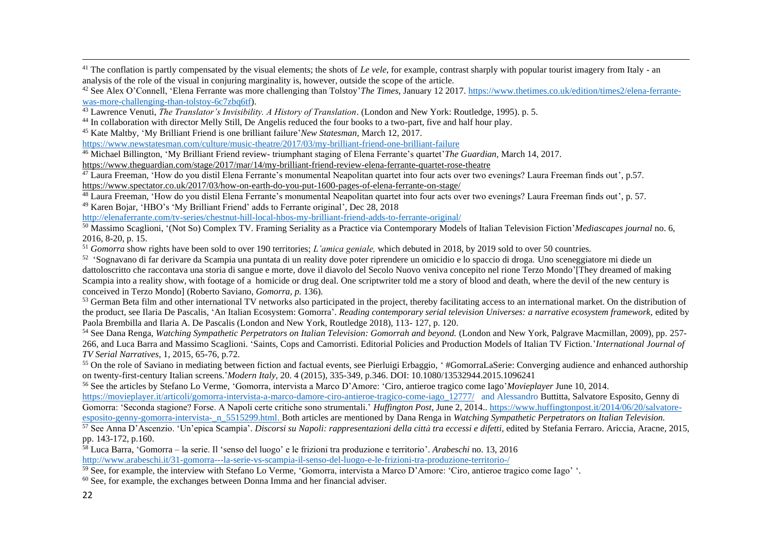<sup>41</sup> The conflation is partly compensated by the visual elements; the shots of *Le vele*, for example, contrast sharply with popular tourist imagery from Italy - an analysis of the role of the visual in conjuring marginality is, however, outside the scope of the article.

<sup>42</sup> See Alex O'Connell, 'Elena Ferrante was more challenging than Tolstoy'*The Times*, January 12 2017[. https://www.thetimes.co.uk/edition/times2/elena-ferrante](https://www.thetimes.co.uk/edition/times2/elena-ferrante-was-more-challenging-than-tolstoy-6c7zbq6tf)[was-more-challenging-than-tolstoy-6c7zbq6tf\)](https://www.thetimes.co.uk/edition/times2/elena-ferrante-was-more-challenging-than-tolstoy-6c7zbq6tf).

<sup>43</sup> Lawrence Venuti, *The Translator's Invisibility. A History of Translation*. (London and New York: Routledge, 1995). p. 5.

<sup>44</sup> In collaboration with director Melly Still, De Angelis reduced the four books to a two-part, five and half hour play.

<sup>45</sup> Kate Maltby, 'My Brilliant Friend is one brilliant failure'*New Statesman*, March 12, 2017.

<https://www.newstatesman.com/culture/music-theatre/2017/03/my-brilliant-friend-one-brilliant-failure>

<sup>46</sup> Michael Billington, 'My Brilliant Friend review- triumphant staging of Elena Ferrante's quartet'*The Guardian,* March 14, 2017.

<https://www.theguardian.com/stage/2017/mar/14/my-brilliant-friend-review-elena-ferrante-quartet-rose-theatre>

 $\frac{47}{12}$  Laura Freeman, 'How do you distil Elena Ferrante's monumental Neapolitan quartet into four acts over two evenings? Laura Freeman finds out', p.57. <https://www.spectator.co.uk/2017/03/how-on-earth-do-you-put-1600-pages-of-elena-ferrante-on-stage/>

<sup>48</sup> Laura Freeman, 'How do you distil Elena Ferrante's monumental Neapolitan quartet into four acts over two evenings? Laura Freeman finds out', p. 57. <sup>49</sup> Karen Bojar, 'HBO's 'My Brilliant Friend' adds to Ferrante original', Dec 28, 2018

<http://elenaferrante.com/tv-series/chestnut-hill-local-hbos-my-brilliant-friend-adds-to-ferrante-original/>

<sup>50</sup> Massimo Scaglioni, '(Not So) Complex TV. Framing Seriality as a Practice via Contemporary Models of Italian Television Fiction'*Mediascapes journal* no. 6, 2016, 8-20, p. 15.

<sup>51</sup> *Gomorra* show rights have been sold to over 190 territories; *L'amica geniale*, which debuted in 2018, by 2019 sold to over 50 countries.

<sup>52</sup> 'Sognavano di far derivare da Scampia una puntata di un reality dove poter riprendere un omicidio e lo spaccio di droga. Uno sceneggiatore mi diede un dattoloscritto che raccontava una storia di sangue e morte, dove il diavolo del Secolo Nuovo veniva concepito nel rione Terzo Mondo'[They dreamed of making Scampia into a reality show, with footage of a homicide or drug deal. One scriptwriter told me a story of blood and death, where the devil of the new century is conceived in Terzo Mondo] (Roberto Saviano, *Gomorra, p.* 136).

<sup>53</sup> German Beta film and other international TV networks also participated in the project, thereby facilitating access to an international market. On the distribution of the product, see Ilaria De Pascalis, 'An Italian Ecosystem: Gomorra'. *Reading contemporary serial television Universes: a narrative ecosystem framework,* edited by Paola Brembilla and Ilaria A. De Pascalis (London and New York, Routledge 2018), 113- 127, p. 120.

<sup>54</sup> See Dana Renga, *Watching Sympathetic Perpetrators on Italian Television: Gomorrah and beyond.* (London and New York, Palgrave Macmillan, 2009), pp. 257- 266, and Luca Barra and Massimo Scaglioni. 'Saints, Cops and Camorristi. Editorial Policies and Production Models of Italian TV Fiction.'*International Journal of TV Serial Narratives*, 1, 2015, 65-76, p.72.

<sup>55</sup> On the role of Saviano in mediating between fiction and factual events, see Pierluigi Erbaggio, '#GomorraLaSerie: Converging audience and enhanced authorship on twenty-first-century Italian screens.'*Modern Italy,* 20. 4 (2015), 335-349, p.346. DOI: 10.1080/13532944.2015.1096241

<sup>56</sup> See the articles by Stefano Lo Verme, 'Gomorra, intervista a Marco D'Amore: 'Ciro, antieroe tragico come Iago'*Movieplayer* June 10, 2014.

[https://movieplayer.it/articoli/gomorra-intervista-a-marco-damore-ciro-antieroe-tragico-come-iago\\_12777/](https://movieplayer.it/articoli/gomorra-intervista-a-marco-damore-ciro-antieroe-tragico-come-iago_12777/) and Alessandro Buttitta, Salvatore Esposito, Genny di Gomorra: 'Seconda stagione? Forse. A Napoli certe critiche sono strumentali.' *Huffington Post*, June 2, 2014.. [https://www.huffingtonpost.it/2014/06/20/salvatore](https://www.huffingtonpost.it/2014/06/20/salvatore-esposito-genny-gomorra-intervista-_n_5515299.html)[esposito-genny-gomorra-intervista-\\_n\\_5515299.html.](https://www.huffingtonpost.it/2014/06/20/salvatore-esposito-genny-gomorra-intervista-_n_5515299.html) Both articles are mentioned by Dana Renga in *Watching Sympathetic Perpetrators on Italian Television.*

<sup>57</sup> See Anna D'Ascenzio. 'Un'epica Scampia'. *Discorsi su Napoli: rappresentazioni della città tra eccessi e difetti*, edited by Stefania Ferraro. Ariccia, Aracne, 2015, pp. 143-172, p.160.

<sup>58</sup> Luca Barra, 'Gomorra – la serie. Il 'senso del luogo' e le frizioni tra produzione e territorio'. *Arabeschi* no. 13, 2016

<http://www.arabeschi.it/31-gomorra---la-serie-vs-scampia-il-senso-del-luogo-e-le-frizioni-tra-produzione-territorio-/>

<sup>59</sup> See, for example, the interview with Stefano Lo Verme, 'Gomorra, intervista a Marco D'Amore: 'Ciro, antieroe tragico come Iago' '.

 $60$  See, for example, the exchanges between Donna Imma and her financial adviser.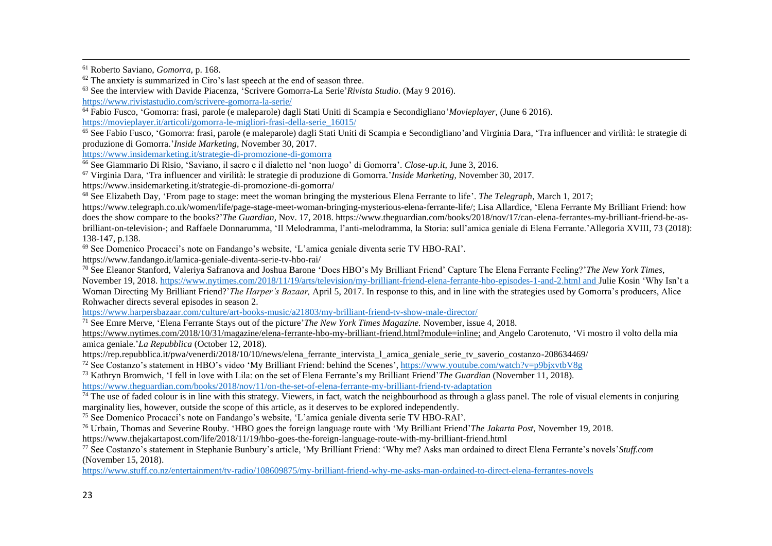<sup>61</sup> Roberto Saviano, *Gomorra,* p. 168.

 $62$  The anxiety is summarized in Ciro's last speech at the end of season three.

<sup>63</sup> See the interview with Davide Piacenza, 'Scrivere Gomorra-La Serie'*Rivista Studio*. (May 9 2016).

<https://www.rivistastudio.com/scrivere-gomorra-la-serie/>

<sup>64</sup> Fabio Fusco, 'Gomorra: frasi, parole (e maleparole) dagli Stati Uniti di Scampia e Secondigliano'*Movieplayer,* (June 6 2016).

[https://movieplayer.it/articoli/gomorra-le-migliori-frasi-della-serie\\_16015/](https://movieplayer.it/articoli/gomorra-le-migliori-frasi-della-serie_16015/)

 $\overline{65}$  See Fabio Fusco, 'Gomorra: frasi, parole (e maleparole) dagli Stati Uniti di Scampia e Secondigliano'and Virginia Dara, 'Tra influencer and virilità: le strategie di produzione di Gomorra.'*Inside Marketing,* November 30, 2017.

[https://www.insidemarketing.it/strategie-di-promozione-di-gomorra](https://www.insidemarketing.it/strategie-di-promozione-di-gomorr)

<sup>66</sup> See Giammario Di Risio, 'Saviano, il sacro e il dialetto nel 'non luogo' di Gomorra'. *Close-up.it*, June 3, 2016.

<sup>67</sup> Virginia Dara, 'Tra influencer and virilità: le strategie di produzione di Gomorra.'*Inside Marketing,* November 30, 2017.

https://www.insidemarketing.it/strategie-di-promozione-di-gomorra/

<sup>68</sup> See Elizabeth Day, 'From page to stage: meet the woman bringing the mysterious Elena Ferrante to life'. *The Telegraph*, March 1, 2017;

https://www.telegraph.co.uk/women/life/page-stage-meet-woman-bringing-mysterious-elena-ferrante-life/; Lisa Allardice, 'Elena Ferrante My Brilliant Friend: how does the show compare to the books?'*The Guardian*, Nov. 17, 2018. https://www.theguardian.com/books/2018/nov/17/can-elena-ferrantes-my-brilliant-friend-be-asbrilliant-on-television-; and Raffaele Donnarumma, 'Il Melodramma, l'anti-melodramma, la Storia: sull'amica geniale di Elena Ferrante.'Allegoria XVIII, 73 (2018): 138-147, p.138.

<sup>69</sup> See Domenico Procacci's note on Fandango's website, 'L'amica geniale diventa serie TV HBO-RAI'.

https://www.fandango.it/lamica-geniale-diventa-serie-tv-hbo-rai/

<sup>70</sup> See Eleanor Stanford, Valeriya Safranova and Joshua Barone 'Does HBO's My Brilliant Friend' Capture The Elena Ferrante Feeling?'*The New York Times*,

November 19, 2018. https://www.nytimes.com/2018/11/19/arts/television/my-brilliant-friend-elena-ferrante-hbo-episodes-1-and-2.html and Julie Kosin 'Why Isn't a Woman Directing My Brilliant Friend?'*The Harper's Bazaar,* April 5, 2017. In response to this, and in line with the strategies used by Gomorra's producers, Alice Rohwacher directs several episodes in season 2.

<https://www.harpersbazaar.com/culture/art-books-music/a21803/my-brilliant-friend-tv-show-male-director/>

<sup>71</sup> See Emre Merve, 'Elena Ferrante Stays out of the picture'*The New York Times Magazine.* November, issue 4, 2018.

[https://www.nytimes.com/2018/10/31/magazine/elena-ferrante-hbo-my-brilliant-friend.html?module=inline;](https://www.nytimes.com/2018/10/31/magazine/elena-ferrante-hbo-my-brilliant-friend.html?module=inline) and Angelo Carotenuto, 'Vi mostro il volto della mia amica geniale.'*La Repubblica* (October 12, 2018).

https://rep.repubblica.it/pwa/venerdi/2018/10/10/news/elena\_ferrante\_intervista\_l\_amica\_geniale\_serie\_tv\_saverio\_costanzo-208634469/

<sup>72</sup> See Costanzo's statement in HBO's video 'My Brilliant Friend: behind the Scenes',<https://www.youtube.com/watch?v=p9bjxvtbV8g>

<sup>73</sup> Kathryn Bromwich, 'I fell in love with Lila: on the set of Elena Ferrante's my Brilliant Friend'*The Guardian* (November 11, 2018).

<https://www.theguardian.com/books/2018/nov/11/on-the-set-of-elena-ferrante-my-brilliant-friend-tv-adaptation>

 $\frac{74}{10}$  The use of faded colour is in line with this strategy. Viewers, in fact, watch the neighbourhood as through a glass panel. The role of visual elements in conjuring marginality lies, however, outside the scope of this article, as it deserves to be explored independently.

<sup>75</sup> See Domenico Procacci's note on Fandango's website, 'L'amica geniale diventa serie TV HBO-RAI'.

<sup>76</sup> Urbain, Thomas and Severine Rouby. 'HBO goes the foreign language route with 'My Brilliant Friend'*The Jakarta Post*, November 19, 2018. https://www.thejakartapost.com/life/2018/11/19/hbo-goes-the-foreign-language-route-with-my-brilliant-friend.html

<sup>77</sup> See Costanzo's statement in Stephanie Bunbury's article, 'My Brilliant Friend: 'Why me? Asks man ordained to direct Elena Ferrante's novels'*Stuff.com*  (November 15, 2018).

<https://www.stuff.co.nz/entertainment/tv-radio/108609875/my-brilliant-friend-why-me-asks-man-ordained-to-direct-elena-ferrantes-novels>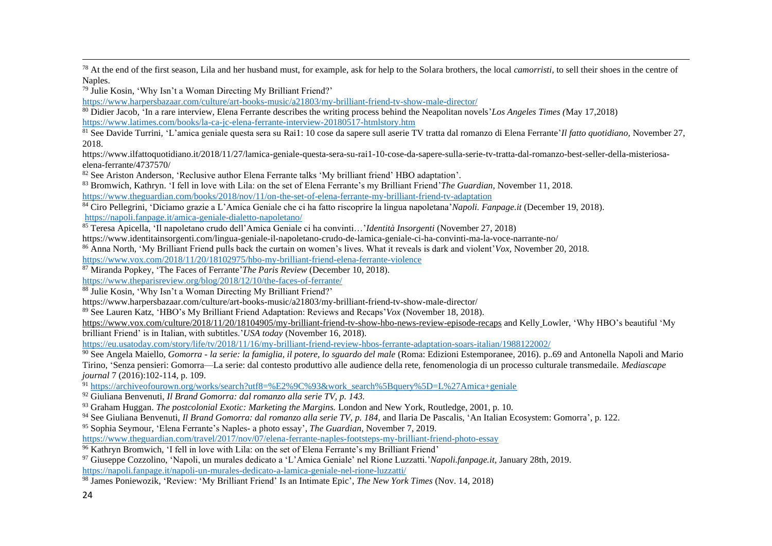<sup>78</sup> At the end of the first season, Lila and her husband must, for example, ask for help to the Solara brothers, the local *camorristi*, to sell their shoes in the centre of Naples.

<sup>79</sup> Julie Kosin, 'Why Isn't a Woman Directing My Brilliant Friend?'

<https://www.harpersbazaar.com/culture/art-books-music/a21803/my-brilliant-friend-tv-show-male-director/>

<sup>80</sup> Didier Jacob, 'In a rare interview, Elena Ferrante describes the writing process behind the Neapolitan novels'*Los Angeles Times (*May 17,2018) https://www.latimes.com/books/la-ca-jc-elena-ferrante-interview-20180517-htmlstory.htm

<sup>81</sup> See Davide Turrini, 'L'amica geniale questa sera su Rai1: 10 cose da sapere sull aserie TV tratta dal romanzo di Elena Ferrante'*Il fatto quotidiano,* November 27, 2018.

https://www.ilfattoquotidiano.it/2018/11/27/lamica-geniale-questa-sera-su-rai1-10-cose-da-sapere-sulla-serie-tv-tratta-dal-romanzo-best-seller-della-misteriosaelena-ferrante/4737570/

<sup>82</sup> See Ariston Anderson. 'Reclusive author Elena Ferrante talks 'My brilliant friend' HBO adaptation'.

<sup>83</sup> Bromwich, Kathryn. 'I fell in love with Lila: on the set of Elena Ferrante's my Brilliant Friend'*The Guardian,* November 11, 2018. <https://www.theguardian.com/books/2018/nov/11/on-the-set-of-elena-ferrante-my-brilliant-friend-tv-adaptation>

<sup>84</sup> Ciro Pellegrini, 'Diciamo grazie a L'Amica Geniale che ci ha fatto riscoprire la lingua napoletana'*Napoli. Fanpage.it* (December 19, 2018). <https://napoli.fanpage.it/amica-geniale-dialetto-napoletano/>

<sup>85</sup> Teresa Apicella, 'Il napoletano crudo dell'Amica Geniale ci ha convinti…'*Identità Insorgenti* (November 27, 2018)

https://www.identitainsorgenti.com/lingua-geniale-il-napoletano-crudo-de-lamica-geniale-ci-ha-convinti-ma-la-voce-narrante-no/

<sup>86</sup> Anna North, 'My Brilliant Friend pulls back the curtain on women's lives. What it reveals is dark and violent'*Vox,* November 20, 2018.

<https://www.vox.com/2018/11/20/18102975/hbo-my-brilliant-friend-elena-ferrante-violence>

<sup>87</sup> Miranda Popkey, 'The Faces of Ferrante'*The Paris Review* (December 10, 2018).

<https://www.theparisreview.org/blog/2018/12/10/the-faces-of-ferrante/>

<sup>88</sup> Julie Kosin, 'Why Isn't a Woman Directing My Brilliant Friend?'

https://www.harpersbazaar.com/culture/art-books-music/a21803/my-brilliant-friend-tv-show-male-director/

<sup>89</sup> See Lauren Katz, 'HBO's My Brilliant Friend Adaptation: Reviews and Recaps'*Vox* (November 18, 2018).

<https://www.vox.com/culture/2018/11/20/18104905/my-brilliant-friend-tv-show-hbo-news-review-episode-recaps> and Kelly Lowler, 'Why HBO's beautiful 'My

brilliant Friend' is in Italian, with subtitles.'*USA today* (November 16, 2018).

<https://eu.usatoday.com/story/life/tv/2018/11/16/my-brilliant-friend-review-hbos-ferrante-adaptation-soars-italian/1988122002/>

<sup>90</sup> See Angela Maiello, *Gomorra - la serie: la famiglia, il potere, lo sguardo del male* (Roma: Edizioni Estemporanee, 2016). p. 69 and Antonella Napoli and Mario Tirino, 'Senza pensieri: Gomorra—La serie: dal contesto produttivo alle audience della rete, fenomenologia di un processo culturale transmedaile. *Mediascape journal* 7 (2016):102-114, p. 109.

<sup>91</sup> [https://archiveofourown.org/works/search?utf8=%E2%9C%93&work\\_search%5Bquery%5D=L%27Amica+geniale](https://archiveofourown.org/works/search?utf8=%E2%9C%93&work_search%5Bquery%5D=L%27Amica+geniale)

<sup>92</sup> Giuliana Benvenuti, *Il Brand Gomorra: dal romanzo alla serie TV, p. 143.*

<sup>93</sup> Graham Huggan. *The postcolonial Exotic: Marketing the Margins.* London and New York, Routledge, 2001, p. 10.

<sup>94</sup> See Giuliana Benvenuti, *Il Brand Gomorra: dal romanzo alla serie TV, p. 184*, and Ilaria De Pascalis, 'An Italian Ecosystem: Gomorra', p. 122.

<sup>95</sup> Sophia Seymour, 'Elena Ferrante's Naples- a photo essay', *The Guardian,* November 7, 2019.

<https://www.theguardian.com/travel/2017/nov/07/elena-ferrante-naples-footsteps-my-brilliant-friend-photo-essay>

<sup>96</sup> Kathryn Bromwich, 'I fell in love with Lila: on the set of Elena Ferrante's my Brilliant Friend'

<sup>97</sup> Giuseppe Cozzolino, 'Napoli, un murales dedicato a 'L'Amica Geniale' nel Rione Luzzatti.'*Napoli.fanpage.it,* January 28th, 2019. <https://napoli.fanpage.it/napoli-un-murales-dedicato-a-lamica-geniale-nel-rione-luzzatti/>

<sup>98</sup> James Poniewozik, 'Review: 'My Brilliant Friend' Is an Intimate Epic', *The New York Times* (Nov. 14, 2018)